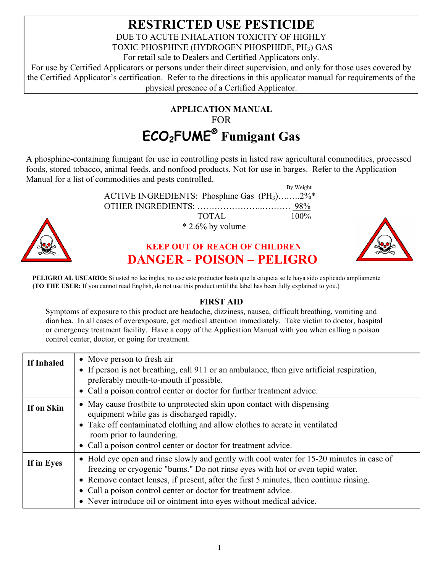## **RESTRICTED USE PESTICIDE**  DUE TO ACUTE INHALATION TOXICITY OF HIGHLY TOXIC PHOSPHINE (HYDROGEN PHOSPHIDE, PH<sub>3</sub>) GAS For retail sale to Dealers and Certified Applicators only.

For use by Certified Applicators or persons under their direct supervision, and only for those uses covered by the Certified Applicator's certification. Refer to the directions in this applicator manual for requirements of the physical presence of a Certified Applicator.

# **APPLICATION MANUAL** FOR **ECO2FUME® Fumigant Gas**

A phosphine-containing fumigant for use in controlling pests in listed raw agricultural commodities, processed foods, stored tobacco, animal feeds, and nonfood products. Not for use in barges. Refer to the Application Manual for a list of commodities and pests controlled.

> ACTIVE INGREDIENTS: Phosphine Gas  $(PH_3)$ ........2%\* OTHER INGREDIENTS: …………………..………. 98%

By Weight

| <u>UIHEK INGKEDIENTS: </u>           | 98%  |
|--------------------------------------|------|
| TOTAL.                               | 100% |
| $*$ 2.6% by volume                   |      |
| <b>KEEP OUT OF REACH OF CHILDREN</b> |      |
| DANGED DOKON DELIGDO                 |      |

# **KEEP OUT OF REACH OF CHILDREN DANGER - POISON – PELIGRO**



**PELIGRO AL USUARIO:** Si usted no lee ingles, no use este productor hasta que la etiqueta se le haya sido explicado ampliamente **(TO THE USER:** If you cannot read English, do not use this product until the label has been fully explained to you.)

### **FIRST AID**

Symptoms of exposure to this product are headache, dizziness, nausea, difficult breathing, vomiting and diarrhea. In all cases of overexposure, get medical attention immediately. Take victim to doctor, hospital or emergency treatment facility. Have a copy of the Application Manual with you when calling a poison control center, doctor, or going for treatment.

| If Inhaled | • Move person to fresh air<br>• If person is not breathing, call 911 or an ambulance, then give artificial respiration,<br>preferably mouth-to-mouth if possible.<br>• Call a poison control center or doctor for further treatment advice.                                                                                                                                                                   |
|------------|---------------------------------------------------------------------------------------------------------------------------------------------------------------------------------------------------------------------------------------------------------------------------------------------------------------------------------------------------------------------------------------------------------------|
| If on Skin | • May cause frostbite to unprotected skin upon contact with dispensing<br>equipment while gas is discharged rapidly.<br>• Take off contaminated clothing and allow clothes to aerate in ventilated<br>room prior to laundering.<br>• Call a poison control center or doctor for treatment advice.                                                                                                             |
| If in Eyes | • Hold eye open and rinse slowly and gently with cool water for 15-20 minutes in case of<br>freezing or cryogenic "burns." Do not rinse eyes with hot or even tepid water.<br>• Remove contact lenses, if present, after the first 5 minutes, then continue rinsing.<br>• Call a poison control center or doctor for treatment advice.<br>• Never introduce oil or ointment into eyes without medical advice. |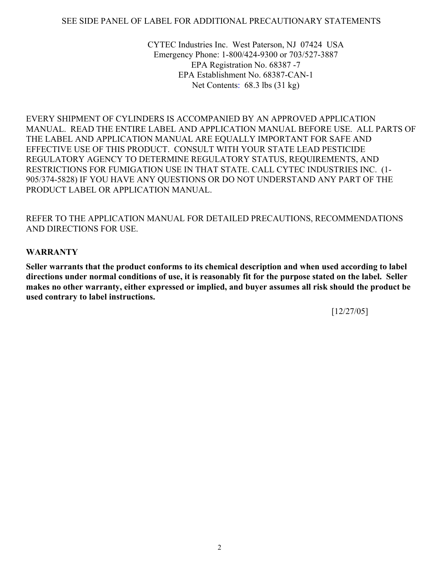#### SEE SIDE PANEL OF LABEL FOR ADDITIONAL PRECAUTIONARY STATEMENTS

CYTEC Industries Inc. West Paterson, NJ 07424 USA Emergency Phone: 1-800/424-9300 or 703/527-3887 EPA Registration No. 68387 -7 EPA Establishment No. 68387-CAN-1 Net Contents: 68.3 lbs (31 kg)

EVERY SHIPMENT OF CYLINDERS IS ACCOMPANIED BY AN APPROVED APPLICATION MANUAL. READ THE ENTIRE LABEL AND APPLICATION MANUAL BEFORE USE. ALL PARTS OF THE LABEL AND APPLICATION MANUAL ARE EQUALLY IMPORTANT FOR SAFE AND EFFECTIVE USE OF THIS PRODUCT. CONSULT WITH YOUR STATE LEAD PESTICIDE REGULATORY AGENCY TO DETERMINE REGULATORY STATUS, REQUIREMENTS, AND RESTRICTIONS FOR FUMIGATION USE IN THAT STATE. CALL CYTEC INDUSTRIES INC. (1- 905/374-5828) IF YOU HAVE ANY QUESTIONS OR DO NOT UNDERSTAND ANY PART OF THE PRODUCT LABEL OR APPLICATION MANUAL.

#### REFER TO THE APPLICATION MANUAL FOR DETAILED PRECAUTIONS, RECOMMENDATIONS AND DIRECTIONS FOR USE.

#### **WARRANTY**

**Seller warrants that the product conforms to its chemical description and when used according to label directions under normal conditions of use, it is reasonably fit for the purpose stated on the label. Seller makes no other warranty, either expressed or implied, and buyer assumes all risk should the product be used contrary to label instructions.** 

[12/27/05]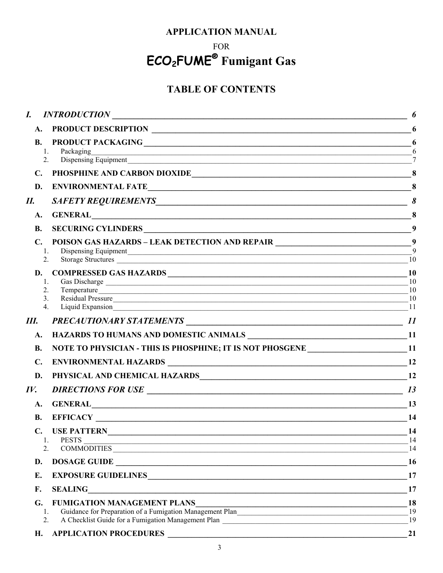### **APPLICATION MANUAL**

## FOR

# ECO<sub>2</sub>FUME<sup>®</sup> Fumigant Gas

# **TABLE OF CONTENTS**

| INTRODUCTION<br>A.<br><b>B.</b><br>Packaging<br>1.<br>2.<br>$\mathbf{C}$ .<br><b>ENVIRONMENTAL FATE</b><br>D.<br>II.<br>GENERAL CONSERVERS CONSERVERS AND RESERVE AND RESERVE AND RESERVE AND RESERVE AND RESERVE AND RESERVE AND RESERVE AND RESERVE AND RESPONDING A STRUCK OF A STRUCK OF A STRUCK OF A STRUCK OF A STRUCK OF A STRUCK OF A STRUCK<br>A.<br><b>B.</b><br>POISON GAS HAZARDS - LEAK DETECTION AND REPAIR __________________________________9<br>$\mathbf{C}$ .<br>1.<br>2.<br>Storage Structures | 6                     |
|--------------------------------------------------------------------------------------------------------------------------------------------------------------------------------------------------------------------------------------------------------------------------------------------------------------------------------------------------------------------------------------------------------------------------------------------------------------------------------------------------------------------|-----------------------|
|                                                                                                                                                                                                                                                                                                                                                                                                                                                                                                                    | 6                     |
|                                                                                                                                                                                                                                                                                                                                                                                                                                                                                                                    | 6<br>6                |
|                                                                                                                                                                                                                                                                                                                                                                                                                                                                                                                    |                       |
|                                                                                                                                                                                                                                                                                                                                                                                                                                                                                                                    | 8                     |
|                                                                                                                                                                                                                                                                                                                                                                                                                                                                                                                    | $\boldsymbol{\delta}$ |
|                                                                                                                                                                                                                                                                                                                                                                                                                                                                                                                    | 8                     |
|                                                                                                                                                                                                                                                                                                                                                                                                                                                                                                                    | 9                     |
|                                                                                                                                                                                                                                                                                                                                                                                                                                                                                                                    | - 9<br>10             |
| D.<br>1.<br>2.<br>Temperature<br>Residual Pressure 10<br>3 <sub>1</sub><br>4.                                                                                                                                                                                                                                                                                                                                                                                                                                      | 10<br>10<br>10<br>11  |
| Ш.                                                                                                                                                                                                                                                                                                                                                                                                                                                                                                                 | 11                    |
| $\mathbf{A}$ .                                                                                                                                                                                                                                                                                                                                                                                                                                                                                                     |                       |
| NOTE TO PHYSICIAN - THIS IS PHOSPHINE; IT IS NOT PHOSGENE ______________________11<br><b>B.</b>                                                                                                                                                                                                                                                                                                                                                                                                                    |                       |
| $\mathbf{C}$ .                                                                                                                                                                                                                                                                                                                                                                                                                                                                                                     | <b>12</b>             |
| PHYSICAL AND CHEMICAL HAZARDS MARIE AND CHEMICAL HAZARDS<br>D.                                                                                                                                                                                                                                                                                                                                                                                                                                                     | 12                    |
| IV.                                                                                                                                                                                                                                                                                                                                                                                                                                                                                                                | 13                    |
| <b>GENERAL</b><br>A.                                                                                                                                                                                                                                                                                                                                                                                                                                                                                               | 13                    |
| <b>B.</b>                                                                                                                                                                                                                                                                                                                                                                                                                                                                                                          | 14                    |
| C.<br><b>PESTS</b><br>1.<br>PESTS<br>COMMODITIES<br>2.                                                                                                                                                                                                                                                                                                                                                                                                                                                             | 14<br>14<br>14        |
| DOSAGE GUIDE<br>D.                                                                                                                                                                                                                                                                                                                                                                                                                                                                                                 | 16                    |
| EXPOSURE GUIDELINES<br>Е.                                                                                                                                                                                                                                                                                                                                                                                                                                                                                          | 17                    |
| F.<br><b>SEALING</b><br><u> 2000 - Jan Barnett, margaret amerikan basar dan berasal dalam pengaran basar dalam pengaran basar dalam penga</u>                                                                                                                                                                                                                                                                                                                                                                      | 17                    |
| <b>FUMIGATION MANAGEMENT PLANS</b><br>G.<br>Guidance for Preparation of a Fumigation Management Plan<br>-1.<br>2.                                                                                                                                                                                                                                                                                                                                                                                                  | 18<br>19<br>19        |
| Н.                                                                                                                                                                                                                                                                                                                                                                                                                                                                                                                 | 21                    |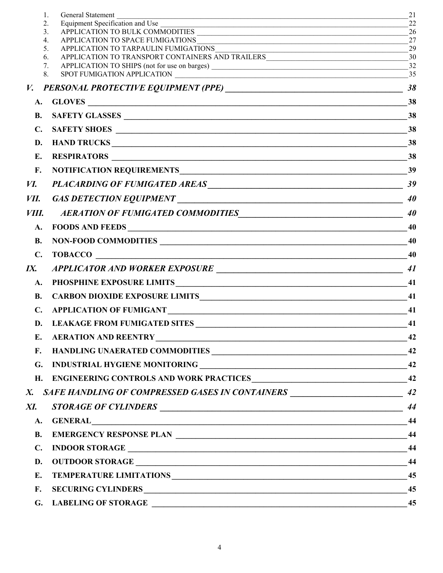|                | 1.<br>General Statement                                                                                                                                   | 21       |
|----------------|-----------------------------------------------------------------------------------------------------------------------------------------------------------|----------|
|                | Equipment Specification and Use<br>2.<br><u> 1989 - Johann Stoff, amerikansk politiker (d. 1989)</u><br>APPLICATION TO BULK COMMODITIES<br>3 <sub>1</sub> | 22<br>26 |
|                | <u> 1989 - Johann Stoff, amerikansk politiker (d. 1989)</u><br>4.                                                                                         | 27       |
|                | APPLICATION TO TARPAULIN FUMIGATIONS<br>5.<br><u> 1989 - Johann John Stone, mars eta biztanleria (h. 1989).</u>                                           | 29       |
|                | APPLICATION TO TRANSPORT CONTAINERS AND TRAILERS<br>6.                                                                                                    | 30       |
|                | 7.                                                                                                                                                        | 32       |
|                | 8.<br>SPOT FUMIGATION APPLICATION<br><u> 1980 - Jan Samuel Barbara, margaret eta idazlea (h. 1980).</u>                                                   | 35       |
| $V_{\bullet}$  |                                                                                                                                                           | 38       |
| A.             |                                                                                                                                                           | 38       |
| <b>B.</b>      |                                                                                                                                                           | 38       |
| $\mathbf{C}$ . |                                                                                                                                                           | 38       |
| D.             |                                                                                                                                                           | 38       |
| Е.             |                                                                                                                                                           | 38       |
| F.             |                                                                                                                                                           | 39       |
| И.             | PLACARDING OF FUMIGATED AREAS 39                                                                                                                          |          |
| VII.           |                                                                                                                                                           | 40       |
| VIII.          | AERATION OF FUMIGATED COMMODITIES                                                                                                                         | 40       |
| A.             | FOODS AND FEEDS                                                                                                                                           | 40       |
| <b>B.</b>      | NON-FOOD COMMODITIES                                                                                                                                      | 40       |
| $\mathbf{C}$ . |                                                                                                                                                           | 40       |
| IX.            |                                                                                                                                                           | 41       |
| A.             |                                                                                                                                                           | 41       |
| <b>B.</b>      | CARBON DIOXIDE EXPOSURE LIMITS PORT AND A CONSERVER THE CARBON DIOXIDE EXPOSURE LIMITS                                                                    | 41       |
| $\mathbf{C}$ . | APPLICATION OF FUMIGANT                                                                                                                                   | 41       |
| D.             |                                                                                                                                                           | 41       |
| E.             | <b>AERATION AND REENTRY</b>                                                                                                                               | 42       |
| F.             |                                                                                                                                                           |          |
| G.             |                                                                                                                                                           |          |
| H.             |                                                                                                                                                           |          |
| X.             | SAFE HANDLING OF COMPRESSED GASES IN CONTAINERS _________________________________ 42                                                                      |          |
| XI.            |                                                                                                                                                           | 44       |
| <b>A.</b>      |                                                                                                                                                           | 44       |
| <b>B.</b>      |                                                                                                                                                           |          |
| $\mathbf{C}$ . |                                                                                                                                                           | 44       |
| D.             |                                                                                                                                                           | 44       |
| Е.             |                                                                                                                                                           | 45       |
| F.             |                                                                                                                                                           | 45       |
| G.             | <b>LABELING OF STORAGE</b>                                                                                                                                | 45       |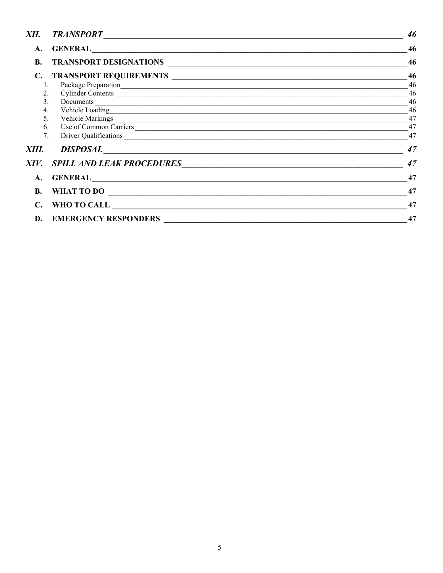| XII.           |                                                                                                                                                                                                                                      | 46 |
|----------------|--------------------------------------------------------------------------------------------------------------------------------------------------------------------------------------------------------------------------------------|----|
| A.             |                                                                                                                                                                                                                                      | 46 |
| <b>B.</b>      | TRANSPORT DESIGNATIONS                                                                                                                                                                                                               | 46 |
| C.             |                                                                                                                                                                                                                                      | 46 |
| 1.             |                                                                                                                                                                                                                                      | 46 |
| 2.             |                                                                                                                                                                                                                                      | 46 |
| 3 <sub>1</sub> |                                                                                                                                                                                                                                      | 46 |
| 4.             |                                                                                                                                                                                                                                      | 46 |
| 5 <sub>1</sub> |                                                                                                                                                                                                                                      | 47 |
| 6.             | Use of Common Carriers                                                                                                                                                                                                               | 47 |
| 7.             |                                                                                                                                                                                                                                      | 47 |
| XIII.          |                                                                                                                                                                                                                                      | 47 |
| XIV.           | <b>SPILL AND LEAK PROCEDURES</b>                                                                                                                                                                                                     | 47 |
| A.             |                                                                                                                                                                                                                                      | 47 |
| <b>B.</b>      | WHAT TO DO                                                                                                                                                                                                                           | 47 |
| С.             | WHO TO CALL <b>with the contract of the contract of the contract of the contract of the contract of the contract of the contract of the contract of the contract of the contract of the contract of the contract of the contract</b> | 47 |
| D.             | <b>EMERGENCY RESPONDERS</b>                                                                                                                                                                                                          | 47 |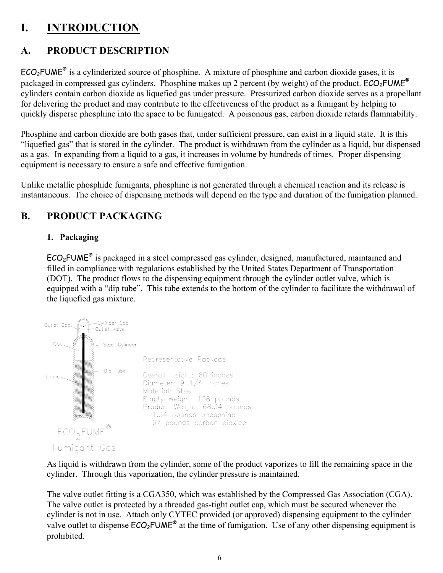# **I. INTRODUCTION**

# **A. PRODUCT DESCRIPTION**

 $ECO<sub>2</sub>FUME<sup>®</sup>$  is a cylinderized source of phosphine. A mixture of phosphine and carbon dioxide gases, it is packaged in compressed gas cylinders. Phosphine makes up 2 percent (by weight) of the product.  $ECO_2$ FUME<sup>®</sup> cylinders contain carbon dioxide as liquefied gas under pressure. Pressurized carbon dioxide serves as a propellant for delivering the product and may contribute to the effectiveness of the product as a fumigant by helping to quickly disperse phosphine into the space to be fumigated. A poisonous gas, carbon dioxide retards flammability.

Phosphine and carbon dioxide are both gases that, under sufficient pressure, can exist in a liquid state. It is this "liquefied gas" that is stored in the cylinder. The product is withdrawn from the cylinder as a liquid, but dispensed as a gas. In expanding from a liquid to a gas, it increases in volume by hundreds of times. Proper dispensing equipment is necessary to ensure a safe and effective fumigation.

Unlike metallic phosphide fumigants, phosphine is not generated through a chemical reaction and its release is instantaneous. The choice of dispensing methods will depend on the type and duration of the fumigation planned.

# **B. PRODUCT PACKAGING**

### **1. Packaging**

ECO2FUME® is packaged in a steel compressed gas cylinder, designed, manufactured, maintained and filled in compliance with regulations established by the United States Department of Transportation (DOT). The product flows to the dispensing equipment through the cylinder outlet valve, which is equipped with a "dip tube". This tube extends to the bottom of the cylinder to facilitate the withdrawal of the liquefied gas mixture.



As liquid is withdrawn from the cylinder, some of the product vaporizes to fill the remaining space in the cylinder. Through this vaporization, the cylinder pressure is maintained.

The valve outlet fitting is a CGA350, which was established by the Compressed Gas Association (CGA). The valve outlet is protected by a threaded gas-tight outlet cap, which must be secured whenever the cylinder is not in use. Attach only CYTEC provided (or approved) dispensing equipment to the cylinder valve outlet to dispense  $ECO<sub>2</sub>FUME<sup>®</sup>$  at the time of fumigation. Use of any other dispensing equipment is prohibited.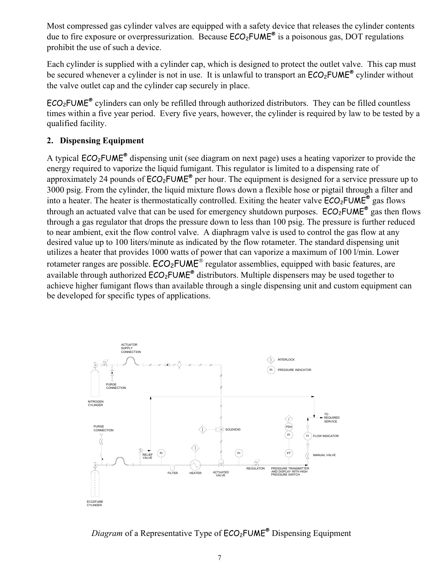Most compressed gas cylinder valves are equipped with a safety device that releases the cylinder contents due to fire exposure or overpressurization. Because  $ECO<sub>2</sub>FUME<sup>®</sup>$  is a poisonous gas, DOT regulations prohibit the use of such a device.

Each cylinder is supplied with a cylinder cap, which is designed to protect the outlet valve. This cap must be secured whenever a cylinder is not in use. It is unlawful to transport an  $ECO<sub>2</sub>FUME<sup>®</sup>$  cylinder without the valve outlet cap and the cylinder cap securely in place.

 $ECO<sub>2</sub>FUME<sup>®</sup>$  cylinders can only be refilled through authorized distributors. They can be filled countless times within a five year period. Every five years, however, the cylinder is required by law to be tested by a qualified facility.

#### **2. Dispensing Equipment**

A typical  $ECO<sub>2</sub>FUME<sup>®</sup>$  dispensing unit (see diagram on next page) uses a heating vaporizer to provide the energy required to vaporize the liquid fumigant. This regulator is limited to a dispensing rate of approximately 24 pounds of  $\text{ECO}_2\text{FUME}^{\otimes}$  per hour. The equipment is designed for a service pressure up to 3000 psig. From the cylinder, the liquid mixture flows down a flexible hose or pigtail through a filter and into a heater. The heater is thermostatically controlled. Exiting the heater valve  $ECO_2$ FUME<sup>®</sup> gas flows through an actuated valve that can be used for emergency shutdown purposes.  $ECO<sub>2</sub>FUME<sup>®</sup>$  gas then flows through a gas regulator that drops the pressure down to less than 100 psig. The pressure is further reduced to near ambient, exit the flow control valve. A diaphragm valve is used to control the gas flow at any desired value up to 100 liters/minute as indicated by the flow rotameter. The standard dispensing unit utilizes a heater that provides 1000 watts of power that can vaporize a maximum of 100 l/min. Lower rotameter ranges are possible.  $ECO_2$ FUME<sup>®</sup> regulator assemblies, equipped with basic features, are available through authorized  $ECO<sub>2</sub>FUME<sup>®</sup>$  distributors. Multiple dispensers may be used together to achieve higher fumigant flows than available through a single dispensing unit and custom equipment can be developed for specific types of applications.



*Diagram* of a Representative Type of  $ECO<sub>2</sub>FUME<sup>®</sup>$  Dispensing Equipment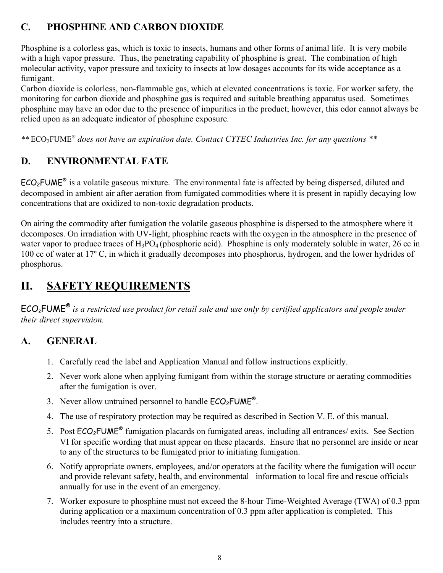# **C. PHOSPHINE AND CARBON DIOXIDE**

Phosphine is a colorless gas, which is toxic to insects, humans and other forms of animal life. It is very mobile with a high vapor pressure. Thus, the penetrating capability of phosphine is great. The combination of high molecular activity, vapor pressure and toxicity to insects at low dosages accounts for its wide acceptance as a fumigant.

Carbon dioxide is colorless, non-flammable gas, which at elevated concentrations is toxic. For worker safety, the monitoring for carbon dioxide and phosphine gas is required and suitable breathing apparatus used. Sometimes phosphine may have an odor due to the presence of impurities in the product; however, this odor cannot always be relied upon as an adequate indicator of phosphine exposure.

*\*\** ECO2FUME® *does not have an expiration date. Contact CYTEC Industries Inc. for any questions \*\**

# **D. ENVIRONMENTAL FATE**

 $ECO<sub>2</sub>FUME<sup>®</sup>$  is a volatile gaseous mixture. The environmental fate is affected by being dispersed, diluted and decomposed in ambient air after aeration from fumigated commodities where it is present in rapidly decaying low concentrations that are oxidized to non-toxic degradation products.

On airing the commodity after fumigation the volatile gaseous phosphine is dispersed to the atmosphere where it decomposes. On irradiation with UV-light, phosphine reacts with the oxygen in the atmosphere in the presence of water vapor to produce traces of  $H_3PO_4$  (phosphoric acid). Phosphine is only moderately soluble in water, 26 cc in 100 cc of water at 17º C, in which it gradually decomposes into phosphorus, hydrogen, and the lower hydrides of phosphorus.

# **II. SAFETY REQUIREMENTS**

ECO2FUME® *is a restricted use product for retail sale and use only by certified applicators and people under their direct supervision.* 

## **A. GENERAL**

- 1. Carefully read the label and Application Manual and follow instructions explicitly.
- 2. Never work alone when applying fumigant from within the storage structure or aerating commodities after the fumigation is over.
- 3. Never allow untrained personnel to handle  $ECO<sub>2</sub>FUME<sup>®</sup>$ .
- 4. The use of respiratory protection may be required as described in Section V. E. of this manual.
- 5. Post  $ECO<sub>2</sub>FUME<sup>®</sup>$  fumigation placards on fumigated areas, including all entrances/ exits. See Section VI for specific wording that must appear on these placards. Ensure that no personnel are inside or near to any of the structures to be fumigated prior to initiating fumigation.
- 6. Notify appropriate owners, employees, and/or operators at the facility where the fumigation will occur and provide relevant safety, health, and environmental information to local fire and rescue officials annually for use in the event of an emergency.
- 7. Worker exposure to phosphine must not exceed the 8-hour Time-Weighted Average (TWA) of 0.3 ppm during application or a maximum concentration of 0.3 ppm after application is completed. This includes reentry into a structure.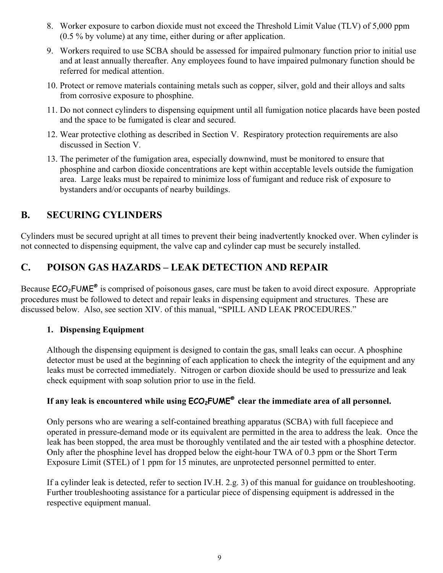- 8. Worker exposure to carbon dioxide must not exceed the Threshold Limit Value (TLV) of 5,000 ppm (0.5 % by volume) at any time, either during or after application.
- 9. Workers required to use SCBA should be assessed for impaired pulmonary function prior to initial use and at least annually thereafter. Any employees found to have impaired pulmonary function should be referred for medical attention.
- 10. Protect or remove materials containing metals such as copper, silver, gold and their alloys and salts from corrosive exposure to phosphine.
- 11. Do not connect cylinders to dispensing equipment until all fumigation notice placards have been posted and the space to be fumigated is clear and secured.
- 12. Wear protective clothing as described in Section V. Respiratory protection requirements are also discussed in Section V.
- 13. The perimeter of the fumigation area, especially downwind, must be monitored to ensure that phosphine and carbon dioxide concentrations are kept within acceptable levels outside the fumigation area. Large leaks must be repaired to minimize loss of fumigant and reduce risk of exposure to bystanders and/or occupants of nearby buildings.

## **B. SECURING CYLINDERS**

Cylinders must be secured upright at all times to prevent their being inadvertently knocked over. When cylinder is not connected to dispensing equipment, the valve cap and cylinder cap must be securely installed.

# **C. POISON GAS HAZARDS – LEAK DETECTION AND REPAIR**

Because  $ECO<sub>2</sub>FWE<sup>®</sup>$  is comprised of poisonous gases, care must be taken to avoid direct exposure. Appropriate procedures must be followed to detect and repair leaks in dispensing equipment and structures. These are discussed below. Also, see section XIV. of this manual, "SPILL AND LEAK PROCEDURES."

### **1. Dispensing Equipment**

Although the dispensing equipment is designed to contain the gas, small leaks can occur. A phosphine detector must be used at the beginning of each application to check the integrity of the equipment and any leaks must be corrected immediately. Nitrogen or carbon dioxide should be used to pressurize and leak check equipment with soap solution prior to use in the field.

## **If any leak is encountered while using ECO2FUME® clear the immediate area of all personnel.**

Only persons who are wearing a self-contained breathing apparatus (SCBA) with full facepiece and operated in pressure-demand mode or its equivalent are permitted in the area to address the leak. Once the leak has been stopped, the area must be thoroughly ventilated and the air tested with a phosphine detector. Only after the phosphine level has dropped below the eight-hour TWA of 0.3 ppm or the Short Term Exposure Limit (STEL) of 1 ppm for 15 minutes, are unprotected personnel permitted to enter.

If a cylinder leak is detected, refer to section IV.H. 2.g. 3) of this manual for guidance on troubleshooting. Further troubleshooting assistance for a particular piece of dispensing equipment is addressed in the respective equipment manual.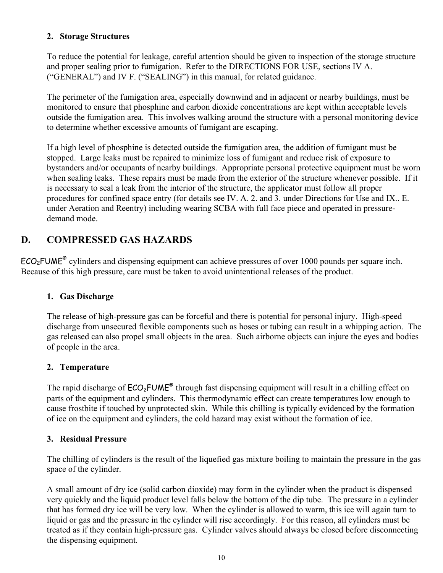#### **2. Storage Structures**

To reduce the potential for leakage, careful attention should be given to inspection of the storage structure and proper sealing prior to fumigation. Refer to the DIRECTIONS FOR USE, sections IV A. ("GENERAL") and IV F. ("SEALING") in this manual, for related guidance.

The perimeter of the fumigation area, especially downwind and in adjacent or nearby buildings, must be monitored to ensure that phosphine and carbon dioxide concentrations are kept within acceptable levels outside the fumigation area. This involves walking around the structure with a personal monitoring device to determine whether excessive amounts of fumigant are escaping.

If a high level of phosphine is detected outside the fumigation area, the addition of fumigant must be stopped. Large leaks must be repaired to minimize loss of fumigant and reduce risk of exposure to bystanders and/or occupants of nearby buildings. Appropriate personal protective equipment must be worn when sealing leaks. These repairs must be made from the exterior of the structure whenever possible. If it is necessary to seal a leak from the interior of the structure, the applicator must follow all proper procedures for confined space entry (for details see IV. A. 2. and 3. under Directions for Use and IX.. E. under Aeration and Reentry) including wearing SCBA with full face piece and operated in pressuredemand mode.

## **D. COMPRESSED GAS HAZARDS**

ECO<sub>2</sub>FUME<sup>®</sup> cylinders and dispensing equipment can achieve pressures of over 1000 pounds per square inch. Because of this high pressure, care must be taken to avoid unintentional releases of the product.

#### **1. Gas Discharge**

The release of high-pressure gas can be forceful and there is potential for personal injury. High-speed discharge from unsecured flexible components such as hoses or tubing can result in a whipping action. The gas released can also propel small objects in the area. Such airborne objects can injure the eyes and bodies of people in the area.

#### **2. Temperature**

The rapid discharge of  $ECO<sub>2</sub>FUME<sup>®</sup>$  through fast dispensing equipment will result in a chilling effect on parts of the equipment and cylinders. This thermodynamic effect can create temperatures low enough to cause frostbite if touched by unprotected skin. While this chilling is typically evidenced by the formation of ice on the equipment and cylinders, the cold hazard may exist without the formation of ice.

#### **3. Residual Pressure**

The chilling of cylinders is the result of the liquefied gas mixture boiling to maintain the pressure in the gas space of the cylinder.

A small amount of dry ice (solid carbon dioxide) may form in the cylinder when the product is dispensed very quickly and the liquid product level falls below the bottom of the dip tube. The pressure in a cylinder that has formed dry ice will be very low. When the cylinder is allowed to warm, this ice will again turn to liquid or gas and the pressure in the cylinder will rise accordingly. For this reason, all cylinders must be treated as if they contain high-pressure gas. Cylinder valves should always be closed before disconnecting the dispensing equipment.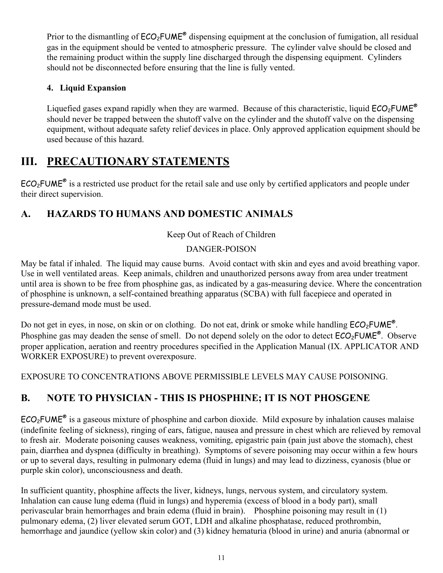Prior to the dismantling of  $ECO<sub>2</sub>FUME<sup>®</sup>$  dispensing equipment at the conclusion of fumigation, all residual gas in the equipment should be vented to atmospheric pressure. The cylinder valve should be closed and the remaining product within the supply line discharged through the dispensing equipment. Cylinders should not be disconnected before ensuring that the line is fully vented.

## **4. Liquid Expansion**

Liquefied gases expand rapidly when they are warmed. Because of this characteristic, liquid  $ECO_2$ FUME<sup>®</sup> should never be trapped between the shutoff valve on the cylinder and the shutoff valve on the dispensing equipment, without adequate safety relief devices in place. Only approved application equipment should be used because of this hazard.

# **III. PRECAUTIONARY STATEMENTS**

 $ECO<sub>2</sub>FWE<sup>®</sup>$  is a restricted use product for the retail sale and use only by certified applicators and people under their direct supervision.

# **A. HAZARDS TO HUMANS AND DOMESTIC ANIMALS**

### Keep Out of Reach of Children

### DANGER-POISON

May be fatal if inhaled. The liquid may cause burns. Avoid contact with skin and eyes and avoid breathing vapor. Use in well ventilated areas. Keep animals, children and unauthorized persons away from area under treatment until area is shown to be free from phosphine gas, as indicated by a gas-measuring device. Where the concentration of phosphine is unknown, a self-contained breathing apparatus (SCBA) with full facepiece and operated in pressure-demand mode must be used.

Do not get in eyes, in nose, on skin or on clothing. Do not eat, drink or smoke while handling  $ECO_2$ FUME<sup>®</sup>. Phosphine gas may deaden the sense of smell. Do not depend solely on the odor to detect  $ECO<sub>2</sub>FUME<sup>®</sup>$ . Observe proper application, aeration and reentry procedures specified in the Application Manual (IX. APPLICATOR AND WORKER EXPOSURE) to prevent overexposure.

EXPOSURE TO CONCENTRATIONS ABOVE PERMISSIBLE LEVELS MAY CAUSE POISONING.

# **B. NOTE TO PHYSICIAN - THIS IS PHOSPHINE; IT IS NOT PHOSGENE**

 $ECO<sub>2</sub>FUME<sup>®</sup>$  is a gaseous mixture of phosphine and carbon dioxide. Mild exposure by inhalation causes malaise (indefinite feeling of sickness), ringing of ears, fatigue, nausea and pressure in chest which are relieved by removal to fresh air. Moderate poisoning causes weakness, vomiting, epigastric pain (pain just above the stomach), chest pain, diarrhea and dyspnea (difficulty in breathing). Symptoms of severe poisoning may occur within a few hours or up to several days, resulting in pulmonary edema (fluid in lungs) and may lead to dizziness, cyanosis (blue or purple skin color), unconsciousness and death.

In sufficient quantity, phosphine affects the liver, kidneys, lungs, nervous system, and circulatory system. Inhalation can cause lung edema (fluid in lungs) and hyperemia (excess of blood in a body part), small perivascular brain hemorrhages and brain edema (fluid in brain). Phosphine poisoning may result in (1) pulmonary edema, (2) liver elevated serum GOT, LDH and alkaline phosphatase, reduced prothrombin, hemorrhage and jaundice (yellow skin color) and (3) kidney hematuria (blood in urine) and anuria (abnormal or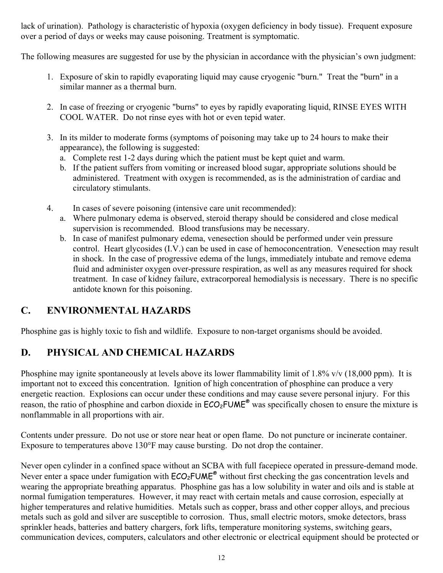lack of urination). Pathology is characteristic of hypoxia (oxygen deficiency in body tissue). Frequent exposure over a period of days or weeks may cause poisoning. Treatment is symptomatic.

The following measures are suggested for use by the physician in accordance with the physician's own judgment:

- 1. Exposure of skin to rapidly evaporating liquid may cause cryogenic "burn." Treat the "burn" in a similar manner as a thermal burn.
- 2. In case of freezing or cryogenic "burns" to eyes by rapidly evaporating liquid, RINSE EYES WITH COOL WATER. Do not rinse eyes with hot or even tepid water.
- 3. In its milder to moderate forms (symptoms of poisoning may take up to 24 hours to make their appearance), the following is suggested:
	- a. Complete rest 1-2 days during which the patient must be kept quiet and warm.
	- b. If the patient suffers from vomiting or increased blood sugar, appropriate solutions should be administered. Treatment with oxygen is recommended, as is the administration of cardiac and circulatory stimulants.
- 4. In cases of severe poisoning (intensive care unit recommended):
	- a. Where pulmonary edema is observed, steroid therapy should be considered and close medical supervision is recommended. Blood transfusions may be necessary.
	- b. In case of manifest pulmonary edema, venesection should be performed under vein pressure control. Heart glycosides (I.V.) can be used in case of hemoconcentration. Venesection may result in shock. In the case of progressive edema of the lungs, immediately intubate and remove edema fluid and administer oxygen over-pressure respiration, as well as any measures required for shock treatment. In case of kidney failure, extracorporeal hemodialysis is necessary. There is no specific antidote known for this poisoning.

## **C. ENVIRONMENTAL HAZARDS**

Phosphine gas is highly toxic to fish and wildlife. Exposure to non-target organisms should be avoided.

## **D. PHYSICAL AND CHEMICAL HAZARDS**

Phosphine may ignite spontaneously at levels above its lower flammability limit of 1.8% v/v (18,000 ppm). It is important not to exceed this concentration. Ignition of high concentration of phosphine can produce a very energetic reaction. Explosions can occur under these conditions and may cause severe personal injury. For this reason, the ratio of phosphine and carbon dioxide in  $\text{ECO}_2\text{FUME}^{\otimes}$  was specifically chosen to ensure the mixture is nonflammable in all proportions with air.

Contents under pressure. Do not use or store near heat or open flame. Do not puncture or incinerate container. Exposure to temperatures above 130°F may cause bursting. Do not drop the container.

Never open cylinder in a confined space without an SCBA with full facepiece operated in pressure-demand mode. Never enter a space under fumigation with  $ECO<sub>2</sub>FUME<sup>®</sup>$  without first checking the gas concentration levels and wearing the appropriate breathing apparatus. Phosphine gas has a low solubility in water and oils and is stable at normal fumigation temperatures. However, it may react with certain metals and cause corrosion, especially at higher temperatures and relative humidities. Metals such as copper, brass and other copper alloys, and precious metals such as gold and silver are susceptible to corrosion. Thus, small electric motors, smoke detectors, brass sprinkler heads, batteries and battery chargers, fork lifts, temperature monitoring systems, switching gears, communication devices, computers, calculators and other electronic or electrical equipment should be protected or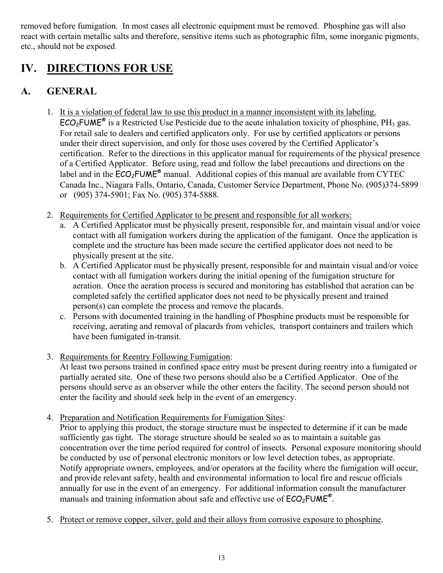removed before fumigation. In most cases all electronic equipment must be removed. Phosphine gas will also react with certain metallic salts and therefore, sensitive items such as photographic film, some inorganic pigments, etc., should not be exposed.

# **IV. DIRECTIONS FOR USE**

# **A. GENERAL**

- 1. It is a violation of federal law to use this product in a manner inconsistent with its labeling.  $\overline{\text{ECO}_2\text{FUME}^*}$  is a Restricted Use Pesticide due to the acute inhalation toxicity of phosphine, PH<sub>3</sub> gas. For retail sale to dealers and certified applicators only. For use by certified applicators or persons under their direct supervision, and only for those uses covered by the Certified Applicator's certification. Refer to the directions in this applicator manual for requirements of the physical presence of a Certified Applicator. Before using, read and follow the label precautions and directions on the label and in the  $\widehat{ECO}_2$ FUME<sup>®</sup> manual. Additional copies of this manual are available from CYTEC Canada Inc., Niagara Falls, Ontario, Canada, Customer Service Department, Phone No. (905)374-5899 or (905) 374-5901; Fax No. (905) 374-5888.
- 2. Requirements for Certified Applicator to be present and responsible for all workers:
	- a. A Certified Applicator must be physically present, responsible for, and maintain visual and/or voice contact with all fumigation workers during the application of the fumigant. Once the application is complete and the structure has been made secure the certified applicator does not need to be physically present at the site.
	- b. A Certified Applicator must be physically present, responsible for and maintain visual and/or voice contact with all fumigation workers during the initial opening of the fumigation structure for aeration. Once the aeration process is secured and monitoring has established that aeration can be completed safely the certified applicator does not need to be physically present and trained person(s) can complete the process and remove the placards.
	- c. Persons with documented training in the handling of Phosphine products must be responsible for receiving, aerating and removal of placards from vehicles, transport containers and trailers which have been fumigated in-transit.
- 3. Requirements for Reentry Following Fumigation:

At least two persons trained in confined space entry must be present during reentry into a fumigated or partially aerated site. One of these two persons should also be a Certified Applicator. One of the persons should serve as an observer while the other enters the facility. The second person should not enter the facility and should seek help in the event of an emergency.

4. Preparation and Notification Requirements for Fumigation Sites:

Prior to applying this product, the storage structure must be inspected to determine if it can be made sufficiently gas tight. The storage structure should be sealed so as to maintain a suitable gas concentration over the time period required for control of insects. Personal exposure monitoring should be conducted by use of personal electronic monitors or low level detection tubes, as appropriate. Notify appropriate owners, employees, and/or operators at the facility where the fumigation will occur, and provide relevant safety, health and environmental information to local fire and rescue officials annually for use in the event of an emergency. For additional information consult the manufacturer manuals and training information about safe and effective use of  $ECO<sub>2</sub>FUME<sup>®</sup>$ .

5. Protect or remove copper, silver, gold and their alloys from corrosive exposure to phosphine.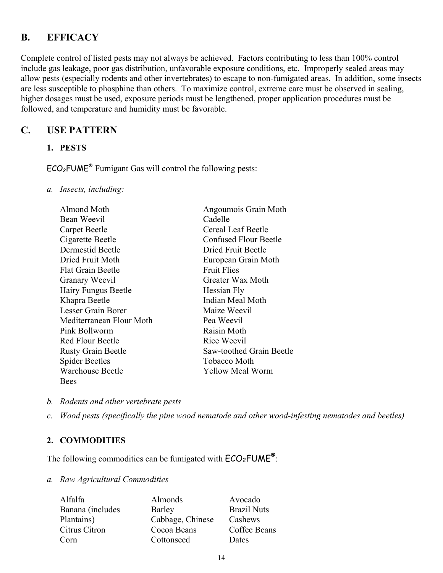## **B. EFFICACY**

Complete control of listed pests may not always be achieved. Factors contributing to less than 100% control include gas leakage, poor gas distribution, unfavorable exposure conditions, etc. Improperly sealed areas may allow pests (especially rodents and other invertebrates) to escape to non-fumigated areas. In addition, some insects are less susceptible to phosphine than others. To maximize control, extreme care must be observed in sealing, higher dosages must be used, exposure periods must be lengthened, proper application procedures must be followed, and temperature and humidity must be favorable.

## **C. USE PATTERN**

**1. PESTS** 

 $ECO<sub>2</sub>FUME<sup>®</sup>$  Fumigant Gas will control the following pests:

*a. Insects, including:* 

| Almond Moth               | Angoumois Grain Moth         |
|---------------------------|------------------------------|
| Bean Weevil               | Cadelle                      |
| Carpet Beetle             | Cereal Leaf Beetle           |
| Cigarette Beetle          | <b>Confused Flour Beetle</b> |
| Dermestid Beetle          | Dried Fruit Beetle           |
| Dried Fruit Moth          | European Grain Moth          |
| <b>Flat Grain Beetle</b>  | <b>Fruit Flies</b>           |
| Granary Weevil            | Greater Wax Moth             |
| Hairy Fungus Beetle       | Hessian Fly                  |
| Khapra Beetle             | Indian Meal Moth             |
| Lesser Grain Borer        | Maize Weevil                 |
| Mediterranean Flour Moth  | Pea Weevil                   |
| Pink Bollworm             | Raisin Moth                  |
| <b>Red Flour Beetle</b>   | Rice Weevil                  |
| <b>Rusty Grain Beetle</b> | Saw-toothed Grain Beetle     |
| <b>Spider Beetles</b>     | Tobacco Moth                 |
| Warehouse Beetle          | Yellow Meal Worm             |
| <b>Bees</b>               |                              |

- *b. Rodents and other vertebrate pests*
- *c. Wood pests (specifically the pine wood nematode and other wood-infesting nematodes and beetles)*

#### **2. COMMODITIES**

The following commodities can be fumigated with  $ECO_2$ FUME<sup>®</sup>:

#### *a. Raw Agricultural Commodities*

| Alfalfa          | Almonds          | Avocado            |
|------------------|------------------|--------------------|
| Banana (includes | <b>Barley</b>    | <b>Brazil Nuts</b> |
| Plantains)       | Cabbage, Chinese | Cashews            |
| Citrus Citron    | Cocoa Beans      | Coffee Beans       |
| Corn             | Cottonseed       | Dates              |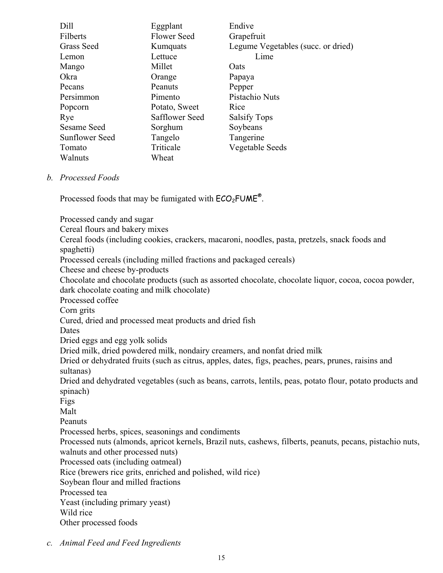| Dill              | Eggplant           | Endive                             |
|-------------------|--------------------|------------------------------------|
| Filberts          | <b>Flower Seed</b> | Grapefruit                         |
| <b>Grass Seed</b> | Kumquats           | Legume Vegetables (succ. or dried) |
| Lemon             | Lettuce            | Lime                               |
| Mango             | Millet             | <b>O</b> ats                       |
| Okra              | Orange             | Papaya                             |
| Pecans            | Peanuts            | Pepper                             |
| Persimmon         | Pimento            | Pistachio Nuts                     |
| Popcorn           | Potato, Sweet      | Rice                               |
| Rye               | Safflower Seed     | <b>Salsify Tops</b>                |
| Sesame Seed       | Sorghum            | Soybeans                           |
| Sunflower Seed    | Tangelo            | Tangerine                          |
| Tomato            | Triticale          | Vegetable Seeds                    |
| Walnuts           | Wheat              |                                    |

#### *b. Processed Foods*

Processed foods that may be fumigated with  $ECO<sub>2</sub>FUME<sup>®</sup>$ .

Processed candy and sugar Cereal flours and bakery mixes Cereal foods (including cookies, crackers, macaroni, noodles, pasta, pretzels, snack foods and spaghetti) Processed cereals (including milled fractions and packaged cereals) Cheese and cheese by-products Chocolate and chocolate products (such as assorted chocolate, chocolate liquor, cocoa, cocoa powder, dark chocolate coating and milk chocolate) Processed coffee Corn grits Cured, dried and processed meat products and dried fish Dates Dried eggs and egg yolk solids Dried milk, dried powdered milk, nondairy creamers, and nonfat dried milk Dried or dehydrated fruits (such as citrus, apples, dates, figs, peaches, pears, prunes, raisins and sultanas) Dried and dehydrated vegetables (such as beans, carrots, lentils, peas, potato flour, potato products and spinach) Figs Malt Peanuts Processed herbs, spices, seasonings and condiments Processed nuts (almonds, apricot kernels, Brazil nuts, cashews, filberts, peanuts, pecans, pistachio nuts, walnuts and other processed nuts) Processed oats (including oatmeal) Rice (brewers rice grits, enriched and polished, wild rice) Soybean flour and milled fractions Processed tea Yeast (including primary yeast) Wild rice Other processed foods

*c. Animal Feed and Feed Ingredients*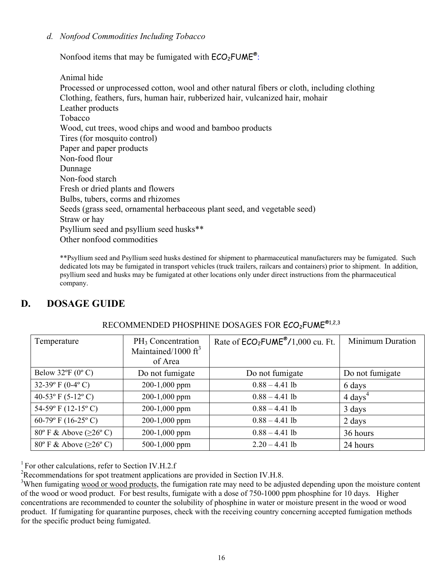#### *d. Nonfood Commodities Including Tobacco*

Nonfood items that may be fumigated with  $ECO<sub>2</sub>FUME<sup>®</sup>$ :

Animal hide Processed or unprocessed cotton, wool and other natural fibers or cloth, including clothing Clothing, feathers, furs, human hair, rubberized hair, vulcanized hair, mohair Leather products Tobacco Wood, cut trees, wood chips and wood and bamboo products Tires (for mosquito control) Paper and paper products Non-food flour Dunnage Non-food starch Fresh or dried plants and flowers Bulbs, tubers, corms and rhizomes Seeds (grass seed, ornamental herbaceous plant seed, and vegetable seed) Straw or hay Psyllium seed and psyllium seed husks\*\* Other nonfood commodities

\*\*Psyllium seed and Psyllium seed husks destined for shipment to pharmaceutical manufacturers may be fumigated. Such dedicated lots may be fumigated in transport vehicles (truck trailers, railcars and containers) prior to shipment. In addition, psyllium seed and husks may be fumigated at other locations only under direct instructions from the pharmaceutical company.

## **D. DOSAGE GUIDE**

| Temperature                                     | PH <sub>3</sub> Concentration<br>Maintained/1000 $\text{ft}^3$<br>of Area | Rate of $ECO2FUME®/1,000$ cu. Ft. | <b>Minimum Duration</b> |
|-------------------------------------------------|---------------------------------------------------------------------------|-----------------------------------|-------------------------|
| Below $32^{\circ}F(0^{\circ}C)$                 | Do not fumigate                                                           | Do not fumigate                   | Do not fumigate         |
| 32-39 $\rm{P}$ (0-4 $\rm{O}$ )                  | 200-1,000 ppm                                                             | $0.88 - 4.41$ lb                  | 6 days                  |
| 40-53 $\rm{^{\circ}F}$ (5-12 $\rm{^{\circ}C}$ ) | 200-1,000 ppm                                                             | $0.88 - 4.41$ lb                  | $4 \text{ days}^4$      |
| 54-59 $\rm{P}$ F (12-15 $\rm{^{\circ}}$ C)      | 200-1,000 ppm                                                             | $0.88 - 4.41$ lb                  | 3 days                  |
| 60-79° F (16-25° C)                             | 200-1,000 ppm                                                             | $0.88 - 4.41$ lb                  | 2 days                  |
| 80° F & Above ( $\geq 26$ ° C)                  | 200-1,000 ppm                                                             | $0.88 - 4.41$ lb                  | 36 hours                |
| 80° F & Above ( $\geq 26$ °C)                   | 500-1,000 ppm                                                             | $2.20 - 4.41$ lb                  | 24 hours                |

## RECOMMENDED PHOSPHINE DOSAGES FOR ECO<sub>2</sub>FUME<sup>®1,2,3</sup>

<sup>1</sup> For other calculations, refer to Section IV.H.2.f

<sup>2</sup>Recommendations for spot treatment applications are provided in Section IV.H.8.

<sup>3</sup>When fumigating wood or wood products, the fumigation rate may need to be adjusted depending upon the moisture content of the wood or wood product. For best results, fumigate with a dose of 750-1000 ppm phosphine for 10 days. Higher concentrations are recommended to counter the solubility of phosphine in water or moisture present in the wood or wood product. If fumigating for quarantine purposes, check with the receiving country concerning accepted fumigation methods for the specific product being fumigated.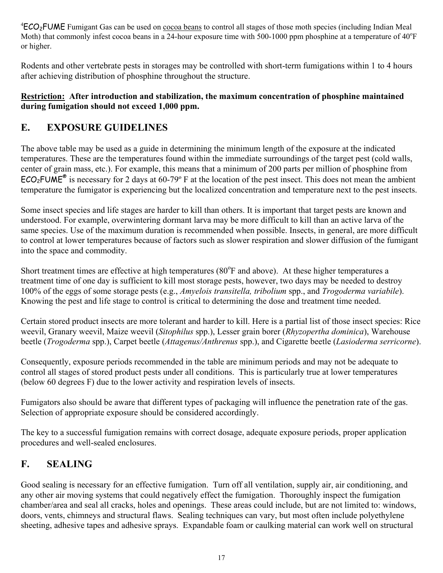<sup>4</sup>ECO<sub>2</sub>FUME Fumigant Gas can be used on cocoa beans to control all stages of those moth species (including Indian Meal Moth) that commonly infest cocoa beans in a 24-hour exposure time with 500-1000 ppm phosphine at a temperature of  $40^{\circ}$ F or higher.

Rodents and other vertebrate pests in storages may be controlled with short-term fumigations within 1 to 4 hours after achieving distribution of phosphine throughout the structure.

#### **Restriction: After introduction and stabilization, the maximum concentration of phosphine maintained during fumigation should not exceed 1,000 ppm.**

# **E. EXPOSURE GUIDELINES**

The above table may be used as a guide in determining the minimum length of the exposure at the indicated temperatures. These are the temperatures found within the immediate surroundings of the target pest (cold walls, center of grain mass, etc.). For example, this means that a minimum of 200 parts per million of phosphine from  $ECO<sub>2</sub>FUME<sup>®</sup>$  is necessary for 2 days at 60-79° F at the location of the pest insect. This does not mean the ambient temperature the fumigator is experiencing but the localized concentration and temperature next to the pest insects.

Some insect species and life stages are harder to kill than others. It is important that target pests are known and understood. For example, overwintering dormant larva may be more difficult to kill than an active larva of the same species. Use of the maximum duration is recommended when possible. Insects, in general, are more difficult to control at lower temperatures because of factors such as slower respiration and slower diffusion of the fumigant into the space and commodity.

Short treatment times are effective at high temperatures  $(80^{\circ}$ F and above). At these higher temperatures a treatment time of one day is sufficient to kill most storage pests, however, two days may be needed to destroy 100% of the eggs of some storage pests (e.g., *Amyelois transitella, tribolium* spp., and *Trogoderma variabile*). Knowing the pest and life stage to control is critical to determining the dose and treatment time needed.

Certain stored product insects are more tolerant and harder to kill. Here is a partial list of those insect species: Rice weevil, Granary weevil, Maize weevil (*Sitophilus* spp.), Lesser grain borer (*Rhyzopertha dominica*), Warehouse beetle (*Trogoderma* spp.), Carpet beetle (*Attagenus/Anthrenus* spp.), and Cigarette beetle (*Lasioderma serricorne*).

Consequently, exposure periods recommended in the table are minimum periods and may not be adequate to control all stages of stored product pests under all conditions. This is particularly true at lower temperatures (below 60 degrees F) due to the lower activity and respiration levels of insects.

Fumigators also should be aware that different types of packaging will influence the penetration rate of the gas. Selection of appropriate exposure should be considered accordingly.

The key to a successful fumigation remains with correct dosage, adequate exposure periods, proper application procedures and well-sealed enclosures.

# **F. SEALING**

Good sealing is necessary for an effective fumigation. Turn off all ventilation, supply air, air conditioning, and any other air moving systems that could negatively effect the fumigation. Thoroughly inspect the fumigation chamber/area and seal all cracks, holes and openings. These areas could include, but are not limited to: windows, doors, vents, chimneys and structural flaws. Sealing techniques can vary, but most often include polyethylene sheeting, adhesive tapes and adhesive sprays. Expandable foam or caulking material can work well on structural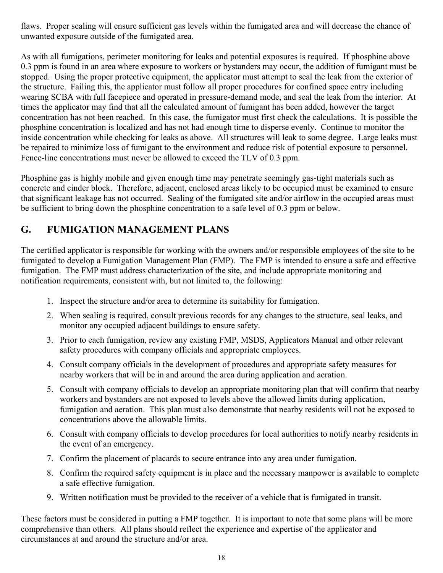flaws. Proper sealing will ensure sufficient gas levels within the fumigated area and will decrease the chance of unwanted exposure outside of the fumigated area.

As with all fumigations, perimeter monitoring for leaks and potential exposures is required. If phosphine above 0.3 ppm is found in an area where exposure to workers or bystanders may occur, the addition of fumigant must be stopped. Using the proper protective equipment, the applicator must attempt to seal the leak from the exterior of the structure. Failing this, the applicator must follow all proper procedures for confined space entry including wearing SCBA with full facepiece and operated in pressure-demand mode, and seal the leak from the interior. At times the applicator may find that all the calculated amount of fumigant has been added, however the target concentration has not been reached. In this case, the fumigator must first check the calculations. It is possible the phosphine concentration is localized and has not had enough time to disperse evenly. Continue to monitor the inside concentration while checking for leaks as above. All structures will leak to some degree. Large leaks must be repaired to minimize loss of fumigant to the environment and reduce risk of potential exposure to personnel. Fence-line concentrations must never be allowed to exceed the TLV of 0.3 ppm.

Phosphine gas is highly mobile and given enough time may penetrate seemingly gas-tight materials such as concrete and cinder block. Therefore, adjacent, enclosed areas likely to be occupied must be examined to ensure that significant leakage has not occurred. Sealing of the fumigated site and/or airflow in the occupied areas must be sufficient to bring down the phosphine concentration to a safe level of 0.3 ppm or below.

# **G. FUMIGATION MANAGEMENT PLANS**

The certified applicator is responsible for working with the owners and/or responsible employees of the site to be fumigated to develop a Fumigation Management Plan (FMP). The FMP is intended to ensure a safe and effective fumigation. The FMP must address characterization of the site, and include appropriate monitoring and notification requirements, consistent with, but not limited to, the following:

- 1. Inspect the structure and/or area to determine its suitability for fumigation.
- 2. When sealing is required, consult previous records for any changes to the structure, seal leaks, and monitor any occupied adjacent buildings to ensure safety.
- 3. Prior to each fumigation, review any existing FMP, MSDS, Applicators Manual and other relevant safety procedures with company officials and appropriate employees.
- 4. Consult company officials in the development of procedures and appropriate safety measures for nearby workers that will be in and around the area during application and aeration.
- 5. Consult with company officials to develop an appropriate monitoring plan that will confirm that nearby workers and bystanders are not exposed to levels above the allowed limits during application, fumigation and aeration. This plan must also demonstrate that nearby residents will not be exposed to concentrations above the allowable limits.
- 6. Consult with company officials to develop procedures for local authorities to notify nearby residents in the event of an emergency.
- 7. Confirm the placement of placards to secure entrance into any area under fumigation.
- 8. Confirm the required safety equipment is in place and the necessary manpower is available to complete a safe effective fumigation.
- 9. Written notification must be provided to the receiver of a vehicle that is fumigated in transit.

These factors must be considered in putting a FMP together. It is important to note that some plans will be more comprehensive than others. All plans should reflect the experience and expertise of the applicator and circumstances at and around the structure and/or area.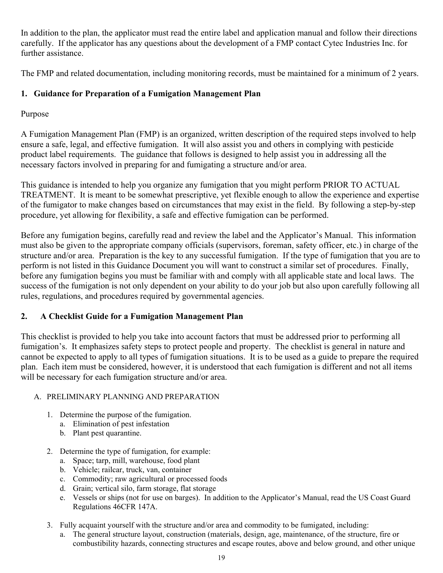In addition to the plan, the applicator must read the entire label and application manual and follow their directions carefully. If the applicator has any questions about the development of a FMP contact Cytec Industries Inc. for further assistance.

The FMP and related documentation, including monitoring records, must be maintained for a minimum of 2 years.

### **1. Guidance for Preparation of a Fumigation Management Plan**

### Purpose

A Fumigation Management Plan (FMP) is an organized, written description of the required steps involved to help ensure a safe, legal, and effective fumigation. It will also assist you and others in complying with pesticide product label requirements. The guidance that follows is designed to help assist you in addressing all the necessary factors involved in preparing for and fumigating a structure and/or area.

This guidance is intended to help you organize any fumigation that you might perform PRIOR TO ACTUAL TREATMENT. It is meant to be somewhat prescriptive, yet flexible enough to allow the experience and expertise of the fumigator to make changes based on circumstances that may exist in the field. By following a step-by-step procedure, yet allowing for flexibility, a safe and effective fumigation can be performed.

Before any fumigation begins, carefully read and review the label and the Applicator's Manual. This information must also be given to the appropriate company officials (supervisors, foreman, safety officer, etc.) in charge of the structure and/or area. Preparation is the key to any successful fumigation. If the type of fumigation that you are to perform is not listed in this Guidance Document you will want to construct a similar set of procedures. Finally, before any fumigation begins you must be familiar with and comply with all applicable state and local laws. The success of the fumigation is not only dependent on your ability to do your job but also upon carefully following all rules, regulations, and procedures required by governmental agencies.

### **2. A Checklist Guide for a Fumigation Management Plan**

This checklist is provided to help you take into account factors that must be addressed prior to performing all fumigation's. It emphasizes safety steps to protect people and property. The checklist is general in nature and cannot be expected to apply to all types of fumigation situations. It is to be used as a guide to prepare the required plan. Each item must be considered, however, it is understood that each fumigation is different and not all items will be necessary for each fumigation structure and/or area.

#### A. PRELIMINARY PLANNING AND PREPARATION

- 1. Determine the purpose of the fumigation.
	- a. Elimination of pest infestation
	- b. Plant pest quarantine.
- 2. Determine the type of fumigation, for example:
	- a. Space; tarp, mill, warehouse, food plant
	- b. Vehicle; railcar, truck, van, container
	- c. Commodity; raw agricultural or processed foods
	- d. Grain; vertical silo, farm storage, flat storage
	- e. Vessels or ships (not for use on barges). In addition to the Applicator's Manual, read the US Coast Guard Regulations 46CFR 147A.
- 3. Fully acquaint yourself with the structure and/or area and commodity to be fumigated, including:
	- a. The general structure layout, construction (materials, design, age, maintenance, of the structure, fire or combustibility hazards, connecting structures and escape routes, above and below ground, and other unique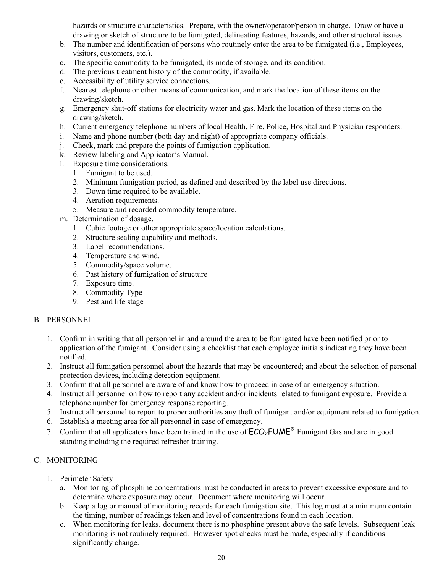hazards or structure characteristics. Prepare, with the owner/operator/person in charge. Draw or have a drawing or sketch of structure to be fumigated, delineating features, hazards, and other structural issues.

- b. The number and identification of persons who routinely enter the area to be fumigated (i.e., Employees, visitors, customers, etc.).
- c. The specific commodity to be fumigated, its mode of storage, and its condition.
- d. The previous treatment history of the commodity, if available.
- e. Accessibility of utility service connections.
- f. Nearest telephone or other means of communication, and mark the location of these items on the drawing/sketch.
- g. Emergency shut-off stations for electricity water and gas. Mark the location of these items on the drawing/sketch.
- h. Current emergency telephone numbers of local Health, Fire, Police, Hospital and Physician responders.
- i. Name and phone number (both day and night) of appropriate company officials.
- j. Check, mark and prepare the points of fumigation application.
- k. Review labeling and Applicator's Manual.
- l. Exposure time considerations.
	- 1. Fumigant to be used.
	- 2. Minimum fumigation period, as defined and described by the label use directions.
	- 3. Down time required to be available.
	- 4. Aeration requirements.
	- 5. Measure and recorded commodity temperature.
- m. Determination of dosage.
	- 1. Cubic footage or other appropriate space/location calculations.
	- 2. Structure sealing capability and methods.
	- 3. Label recommendations.
	- 4. Temperature and wind.
	- 5. Commodity/space volume.
	- 6. Past history of fumigation of structure
	- 7. Exposure time.
	- 8. Commodity Type
	- 9. Pest and life stage

#### B. PERSONNEL

- 1. Confirm in writing that all personnel in and around the area to be fumigated have been notified prior to application of the fumigant. Consider using a checklist that each employee initials indicating they have been notified.
- 2. Instruct all fumigation personnel about the hazards that may be encountered; and about the selection of personal protection devices, including detection equipment.
- 3. Confirm that all personnel are aware of and know how to proceed in case of an emergency situation.
- 4. Instruct all personnel on how to report any accident and/or incidents related to fumigant exposure. Provide a telephone number for emergency response reporting.
- 5. Instruct all personnel to report to proper authorities any theft of fumigant and/or equipment related to fumigation.
- 6. Establish a meeting area for all personnel in case of emergency.
- 7. Confirm that all applicators have been trained in the use of  $\mathsf{ECO}_2\mathsf{FUME}^{\otimes}$  Fumigant Gas and are in good standing including the required refresher training.

#### C. MONITORING

- 1. Perimeter Safety
	- a. Monitoring of phosphine concentrations must be conducted in areas to prevent excessive exposure and to determine where exposure may occur. Document where monitoring will occur.
	- b. Keep a log or manual of monitoring records for each fumigation site. This log must at a minimum contain the timing, number of readings taken and level of concentrations found in each location.
	- c. When monitoring for leaks, document there is no phosphine present above the safe levels. Subsequent leak monitoring is not routinely required. However spot checks must be made, especially if conditions significantly change.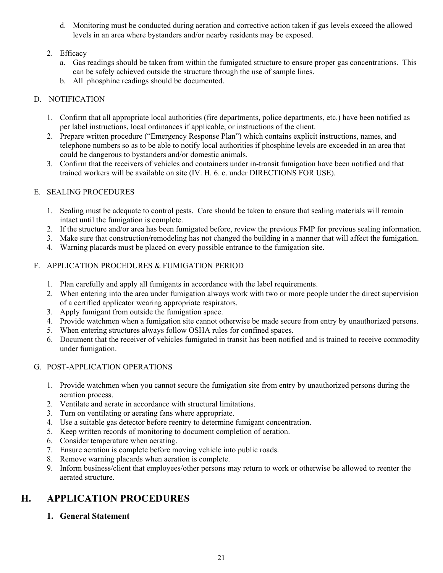d. Monitoring must be conducted during aeration and corrective action taken if gas levels exceed the allowed levels in an area where bystanders and/or nearby residents may be exposed.

#### 2. Efficacy

- a. Gas readings should be taken from within the fumigated structure to ensure proper gas concentrations. This can be safely achieved outside the structure through the use of sample lines.
- b. All phosphine readings should be documented.

#### D. NOTIFICATION

- 1. Confirm that all appropriate local authorities (fire departments, police departments, etc.) have been notified as per label instructions, local ordinances if applicable, or instructions of the client.
- 2. Prepare written procedure ("Emergency Response Plan") which contains explicit instructions, names, and telephone numbers so as to be able to notify local authorities if phosphine levels are exceeded in an area that could be dangerous to bystanders and/or domestic animals.
- 3. Confirm that the receivers of vehicles and containers under in-transit fumigation have been notified and that trained workers will be available on site (IV. H. 6. c. under DIRECTIONS FOR USE).

#### E. SEALING PROCEDURES

- 1. Sealing must be adequate to control pests. Care should be taken to ensure that sealing materials will remain intact until the fumigation is complete.
- 2. If the structure and/or area has been fumigated before, review the previous FMP for previous sealing information.
- 3. Make sure that construction/remodeling has not changed the building in a manner that will affect the fumigation.
- 4. Warning placards must be placed on every possible entrance to the fumigation site.
- F. APPLICATION PROCEDURES & FUMIGATION PERIOD
	- 1. Plan carefully and apply all fumigants in accordance with the label requirements.
	- 2. When entering into the area under fumigation always work with two or more people under the direct supervision of a certified applicator wearing appropriate respirators.
	- 3. Apply fumigant from outside the fumigation space.
	- 4. Provide watchmen when a fumigation site cannot otherwise be made secure from entry by unauthorized persons.
	- 5. When entering structures always follow OSHA rules for confined spaces.
	- 6. Document that the receiver of vehicles fumigated in transit has been notified and is trained to receive commodity under fumigation.

#### G. POST-APPLICATION OPERATIONS

- 1. Provide watchmen when you cannot secure the fumigation site from entry by unauthorized persons during the aeration process.
- 2. Ventilate and aerate in accordance with structural limitations.
- 3. Turn on ventilating or aerating fans where appropriate.
- 4. Use a suitable gas detector before reentry to determine fumigant concentration.
- 5. Keep written records of monitoring to document completion of aeration.
- 6. Consider temperature when aerating.
- 7. Ensure aeration is complete before moving vehicle into public roads.
- 8. Remove warning placards when aeration is complete.
- 9. Inform business/client that employees/other persons may return to work or otherwise be allowed to reenter the aerated structure.

# **H. APPLICATION PROCEDURES**

#### **1. General Statement**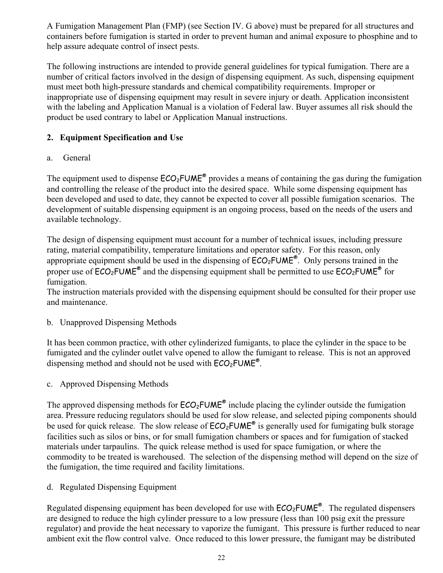A Fumigation Management Plan (FMP) (see Section IV. G above) must be prepared for all structures and containers before fumigation is started in order to prevent human and animal exposure to phosphine and to help assure adequate control of insect pests.

The following instructions are intended to provide general guidelines for typical fumigation. There are a number of critical factors involved in the design of dispensing equipment. As such, dispensing equipment must meet both high-pressure standards and chemical compatibility requirements. Improper or inappropriate use of dispensing equipment may result in severe injury or death. Application inconsistent with the labeling and Application Manual is a violation of Federal law. Buyer assumes all risk should the product be used contrary to label or Application Manual instructions.

### **2. Equipment Specification and Use**

### a. General

The equipment used to dispense  $ECO_2$ FUME<sup>®</sup> provides a means of containing the gas during the fumigation and controlling the release of the product into the desired space. While some dispensing equipment has been developed and used to date, they cannot be expected to cover all possible fumigation scenarios. The development of suitable dispensing equipment is an ongoing process, based on the needs of the users and available technology.

The design of dispensing equipment must account for a number of technical issues, including pressure rating, material compatibility, temperature limitations and operator safety. For this reason, only appropriate equipment should be used in the dispensing of  $\overline{ECO_2FUME^{\circ}}$ . Only persons trained in the proper use of  $ECO<sub>2</sub>FUME<sup>®</sup>$  and the dispensing equipment shall be permitted to use  $ECO<sub>2</sub>FUME<sup>®</sup>$  for fumigation.

The instruction materials provided with the dispensing equipment should be consulted for their proper use and maintenance.

b. Unapproved Dispensing Methods

It has been common practice, with other cylinderized fumigants, to place the cylinder in the space to be fumigated and the cylinder outlet valve opened to allow the fumigant to release. This is not an approved dispensing method and should not be used with  $ECO<sub>2</sub>FUME<sup>®</sup>$ .

c. Approved Dispensing Methods

The approved dispensing methods for  $ECO<sub>2</sub>FUME<sup>®</sup>$  include placing the cylinder outside the fumigation area. Pressure reducing regulators should be used for slow release, and selected piping components should be used for quick release. The slow release of  $ECO_2$ FUME<sup>®</sup> is generally used for fumigating bulk storage facilities such as silos or bins, or for small fumigation chambers or spaces and for fumigation of stacked materials under tarpaulins. The quick release method is used for space fumigation, or where the commodity to be treated is warehoused. The selection of the dispensing method will depend on the size of the fumigation, the time required and facility limitations.

d. Regulated Dispensing Equipment

Regulated dispensing equipment has been developed for use with  $\text{ECO}_2\text{FUME}^{\otimes}$ . The regulated dispensers are designed to reduce the high cylinder pressure to a low pressure (less than 100 psig exit the pressure regulator) and provide the heat necessary to vaporize the fumigant. This pressure is further reduced to near ambient exit the flow control valve. Once reduced to this lower pressure, the fumigant may be distributed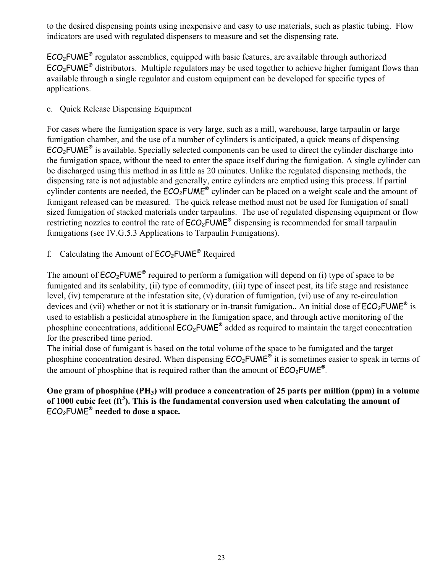to the desired dispensing points using inexpensive and easy to use materials, such as plastic tubing. Flow indicators are used with regulated dispensers to measure and set the dispensing rate.

 $ECO<sub>2</sub>FUME<sup>®</sup>$  regulator assemblies, equipped with basic features, are available through authorized  $ECO<sub>2</sub>FUME<sup>®</sup>$  distributors. Multiple regulators may be used together to achieve higher fumigant flows than available through a single regulator and custom equipment can be developed for specific types of applications.

e. Quick Release Dispensing Equipment

For cases where the fumigation space is very large, such as a mill, warehouse, large tarpaulin or large fumigation chamber, and the use of a number of cylinders is anticipated, a quick means of dispensing  $ECO<sub>2</sub>FUME<sup>®</sup>$  is available. Specially selected components can be used to direct the cylinder discharge into the fumigation space, without the need to enter the space itself during the fumigation. A single cylinder can be discharged using this method in as little as 20 minutes. Unlike the regulated dispensing methods, the dispensing rate is not adjustable and generally, entire cylinders are emptied using this process. If partial cylinder contents are needed, the  $ECO<sub>2</sub>FUME<sup>®</sup>$  cylinder can be placed on a weight scale and the amount of fumigant released can be measured. The quick release method must not be used for fumigation of small sized fumigation of stacked materials under tarpaulins. The use of regulated dispensing equipment or flow restricting nozzles to control the rate of  $ECO<sub>2</sub>FUME<sup>®</sup>$  dispensing is recommended for small tarpaulin fumigations (see IV.G.5.3 Applications to Tarpaulin Fumigations).

f. Calculating the Amount of  $ECO<sub>2</sub>FUME<sup>®</sup>$  Required

The amount of  $ECO<sub>2</sub>FUME<sup>®</sup>$  required to perform a fumigation will depend on (i) type of space to be fumigated and its sealability, (ii) type of commodity, (iii) type of insect pest, its life stage and resistance level, (iv) temperature at the infestation site, (v) duration of fumigation, (vi) use of any re-circulation devices and (vii) whether or not it is stationary or in-transit fumigation.. An initial dose of  $ECO<sub>2</sub>FUME<sup>®</sup>$  is used to establish a pesticidal atmosphere in the fumigation space, and through active monitoring of the phosphine concentrations, additional  $ECO<sub>2</sub>FUME<sup>®</sup>$  added as required to maintain the target concentration for the prescribed time period.

The initial dose of fumigant is based on the total volume of the space to be fumigated and the target phosphine concentration desired. When dispensing  $ECO<sub>2</sub>FUME<sup>®</sup>$  it is sometimes easier to speak in terms of the amount of phosphine that is required rather than the amount of  $ECO<sub>2</sub>FUME<sup>®</sup>$ .

#### **One gram of phosphine (PH3) will produce a concentration of 25 parts per million (ppm) in a volume of 1000 cubic feet (ft<sup>3</sup> ). This is the fundamental conversion used when calculating the amount of**  ECO2FUME® **needed to dose a space.**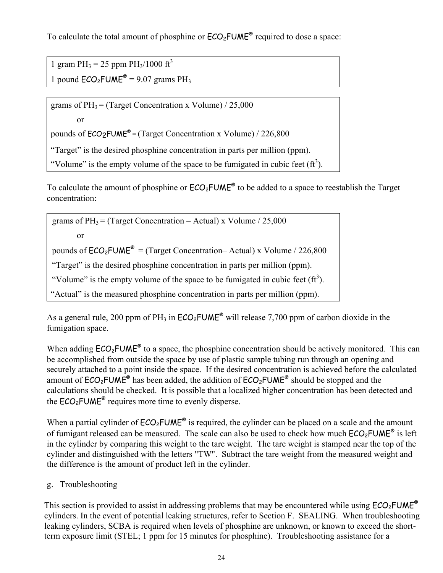To calculate the total amount of phosphine or  $ECO<sub>2</sub>FUME<sup>®</sup>$  required to dose a space:

1 gram  $PH_3 = 25$  ppm  $PH_3/1000$  ft<sup>3</sup> 1 pound  $ECO<sub>2</sub>FUME<sup>®</sup> = 9.07 grams PH<sub>3</sub>$ 

grams of  $PH_3 = (Target concentration x Volume) / 25,000$ 

or

pounds of  $ECO<sub>2</sub>FUME<sup>®</sup> = (Target concentration x Volume) / 226,800$ 

"Target" is the desired phosphine concentration in parts per million (ppm).

"Volume" is the empty volume of the space to be fumigated in cubic feet  $(f_t^3)$ .

To calculate the amount of phosphine or  $ECO<sub>2</sub>FUME<sup>®</sup>$  to be added to a space to reestablish the Target concentration:

grams of  $PH_3 = (Target concentration - Actual) \times Volume / 25,000$  or pounds of  $ECO_2$ FUME<sup>®</sup> = (Target Concentration– Actual) x Volume / 226,800 "Target" is the desired phosphine concentration in parts per million (ppm). "Volume" is the empty volume of the space to be fumigated in cubic feet  $(f_t^3)$ . "Actual" is the measured phosphine concentration in parts per million (ppm).

As a general rule, 200 ppm of PH<sub>3</sub> in  $ECO<sub>2</sub>FUME<sup>®</sup>$  will release 7,700 ppm of carbon dioxide in the fumigation space.

When adding  $ECO<sub>2</sub>FWE<sup>®</sup>$  to a space, the phosphine concentration should be actively monitored. This can be accomplished from outside the space by use of plastic sample tubing run through an opening and securely attached to a point inside the space. If the desired concentration is achieved before the calculated amount of  $ECO_2$ FUME<sup>®</sup> has been added, the addition of  $ECO_2$ FUME<sup>®</sup> should be stopped and the calculations should be checked. It is possible that a localized higher concentration has been detected and the  $ECO<sub>2</sub>FUME<sup>®</sup>$  requires more time to evenly disperse.

When a partial cylinder of  $ECO<sub>2</sub>FUME<sup>®</sup>$  is required, the cylinder can be placed on a scale and the amount of fumigant released can be measured. The scale can also be used to check how much  $ECO<sub>2</sub>FUME<sup>®</sup>$  is left in the cylinder by comparing this weight to the tare weight. The tare weight is stamped near the top of the cylinder and distinguished with the letters "TW". Subtract the tare weight from the measured weight and the difference is the amount of product left in the cylinder.

g. Troubleshooting

This section is provided to assist in addressing problems that may be encountered while using  $ECO<sub>2</sub>FUME<sup>®</sup>$ cylinders. In the event of potential leaking structures, refer to Section F. SEALING. When troubleshooting leaking cylinders, SCBA is required when levels of phosphine are unknown, or known to exceed the shortterm exposure limit (STEL; 1 ppm for 15 minutes for phosphine). Troubleshooting assistance for a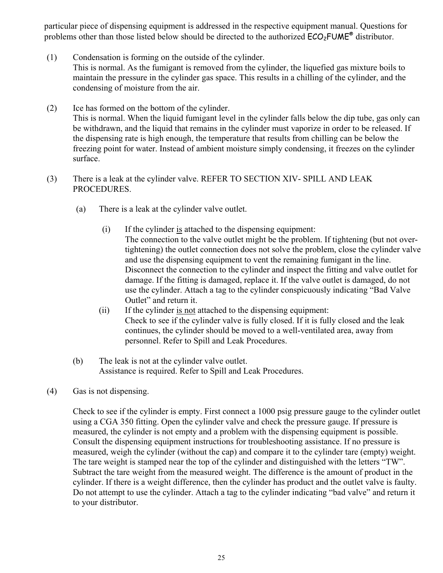particular piece of dispensing equipment is addressed in the respective equipment manual. Questions for problems other than those listed below should be directed to the authorized  $ECO<sub>2</sub>FUME<sup>®</sup>$  distributor.

- (1) Condensation is forming on the outside of the cylinder. This is normal. As the fumigant is removed from the cylinder, the liquefied gas mixture boils to maintain the pressure in the cylinder gas space. This results in a chilling of the cylinder, and the condensing of moisture from the air.
- (2) Ice has formed on the bottom of the cylinder. This is normal. When the liquid fumigant level in the cylinder falls below the dip tube, gas only can be withdrawn, and the liquid that remains in the cylinder must vaporize in order to be released. If the dispensing rate is high enough, the temperature that results from chilling can be below the freezing point for water. Instead of ambient moisture simply condensing, it freezes on the cylinder surface.
- (3) There is a leak at the cylinder valve. REFER TO SECTION XIV- SPILL AND LEAK PROCEDURES.
	- (a) There is a leak at the cylinder valve outlet.
		- (i) If the cylinder is attached to the dispensing equipment: The connection to the valve outlet might be the problem. If tightening (but not overtightening) the outlet connection does not solve the problem, close the cylinder valve and use the dispensing equipment to vent the remaining fumigant in the line. Disconnect the connection to the cylinder and inspect the fitting and valve outlet for damage. If the fitting is damaged, replace it. If the valve outlet is damaged, do not use the cylinder. Attach a tag to the cylinder conspicuously indicating "Bad Valve Outlet" and return it.
		- (ii) If the cylinder is not attached to the dispensing equipment: Check to see if the cylinder valve is fully closed. If it is fully closed and the leak continues, the cylinder should be moved to a well-ventilated area, away from personnel. Refer to Spill and Leak Procedures.
	- (b) The leak is not at the cylinder valve outlet. Assistance is required. Refer to Spill and Leak Procedures.
- (4) Gas is not dispensing.

Check to see if the cylinder is empty. First connect a 1000 psig pressure gauge to the cylinder outlet using a CGA 350 fitting. Open the cylinder valve and check the pressure gauge. If pressure is measured, the cylinder is not empty and a problem with the dispensing equipment is possible. Consult the dispensing equipment instructions for troubleshooting assistance. If no pressure is measured, weigh the cylinder (without the cap) and compare it to the cylinder tare (empty) weight. The tare weight is stamped near the top of the cylinder and distinguished with the letters "TW". Subtract the tare weight from the measured weight. The difference is the amount of product in the cylinder. If there is a weight difference, then the cylinder has product and the outlet valve is faulty. Do not attempt to use the cylinder. Attach a tag to the cylinder indicating "bad valve" and return it to your distributor.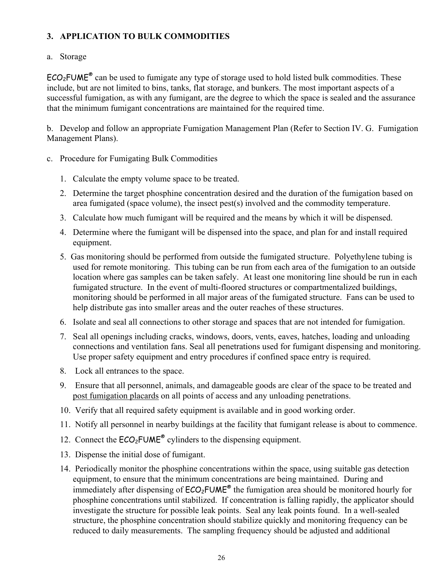### **3. APPLICATION TO BULK COMMODITIES**

#### a. Storage

 $ECO<sub>2</sub>FUME<sup>®</sup>$  can be used to fumigate any type of storage used to hold listed bulk commodities. These include, but are not limited to bins, tanks, flat storage, and bunkers. The most important aspects of a successful fumigation, as with any fumigant, are the degree to which the space is sealed and the assurance that the minimum fumigant concentrations are maintained for the required time.

b. Develop and follow an appropriate Fumigation Management Plan (Refer to Section IV. G. Fumigation Management Plans).

- c. Procedure for Fumigating Bulk Commodities
	- 1. Calculate the empty volume space to be treated.
	- 2. Determine the target phosphine concentration desired and the duration of the fumigation based on area fumigated (space volume), the insect pest(s) involved and the commodity temperature.
	- 3. Calculate how much fumigant will be required and the means by which it will be dispensed.
	- 4. Determine where the fumigant will be dispensed into the space, and plan for and install required equipment.
	- 5. Gas monitoring should be performed from outside the fumigated structure. Polyethylene tubing is used for remote monitoring. This tubing can be run from each area of the fumigation to an outside location where gas samples can be taken safely. At least one monitoring line should be run in each fumigated structure. In the event of multi-floored structures or compartmentalized buildings, monitoring should be performed in all major areas of the fumigated structure. Fans can be used to help distribute gas into smaller areas and the outer reaches of these structures.
	- 6. Isolate and seal all connections to other storage and spaces that are not intended for fumigation.
	- 7. Seal all openings including cracks, windows, doors, vents, eaves, hatches, loading and unloading connections and ventilation fans. Seal all penetrations used for fumigant dispensing and monitoring. Use proper safety equipment and entry procedures if confined space entry is required.
	- 8. Lock all entrances to the space.
	- 9. Ensure that all personnel, animals, and damageable goods are clear of the space to be treated and post fumigation placards on all points of access and any unloading penetrations.
	- 10. Verify that all required safety equipment is available and in good working order.
	- 11. Notify all personnel in nearby buildings at the facility that fumigant release is about to commence.
	- 12. Connect the  $ECO<sub>2</sub>FUME<sup>®</sup>$  cylinders to the dispensing equipment.
	- 13. Dispense the initial dose of fumigant.
	- 14. Periodically monitor the phosphine concentrations within the space, using suitable gas detection equipment, to ensure that the minimum concentrations are being maintained. During and immediately after dispensing of  $ECO<sub>2</sub>FUME<sup>®</sup>$  the fumigation area should be monitored hourly for phosphine concentrations until stabilized. If concentration is falling rapidly, the applicator should investigate the structure for possible leak points. Seal any leak points found. In a well-sealed structure, the phosphine concentration should stabilize quickly and monitoring frequency can be reduced to daily measurements. The sampling frequency should be adjusted and additional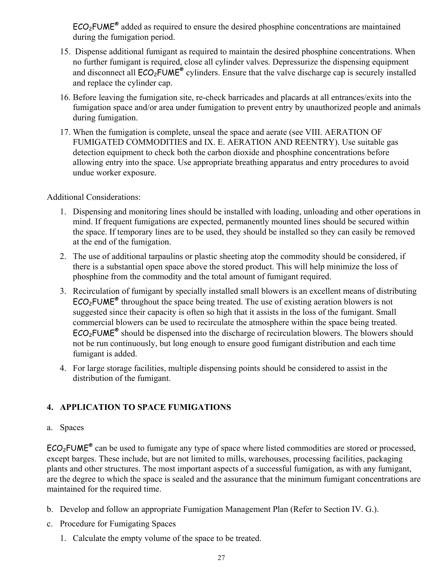$ECO<sub>2</sub>FWE<sup>®</sup>$  added as required to ensure the desired phosphine concentrations are maintained during the fumigation period.

- 15. Dispense additional fumigant as required to maintain the desired phosphine concentrations. When no further fumigant is required, close all cylinder valves. Depressurize the dispensing equipment and disconnect all  $ECO<sub>2</sub>FUME<sup>®</sup>$  cylinders. Ensure that the valve discharge cap is securely installed and replace the cylinder cap.
- 16. Before leaving the fumigation site, re-check barricades and placards at all entrances/exits into the fumigation space and/or area under fumigation to prevent entry by unauthorized people and animals during fumigation.
- 17. When the fumigation is complete, unseal the space and aerate (see VIII. AERATION OF FUMIGATED COMMODITIES and IX. E. AERATION AND REENTRY). Use suitable gas detection equipment to check both the carbon dioxide and phosphine concentrations before allowing entry into the space. Use appropriate breathing apparatus and entry procedures to avoid undue worker exposure.

#### Additional Considerations:

- 1. Dispensing and monitoring lines should be installed with loading, unloading and other operations in mind. If frequent fumigations are expected, permanently mounted lines should be secured within the space. If temporary lines are to be used, they should be installed so they can easily be removed at the end of the fumigation.
- 2. The use of additional tarpaulins or plastic sheeting atop the commodity should be considered, if there is a substantial open space above the stored product. This will help minimize the loss of phosphine from the commodity and the total amount of fumigant required.
- 3. Recirculation of fumigant by specially installed small blowers is an excellent means of distributing  $ECO<sub>2</sub>FUME<sup>®</sup>$  throughout the space being treated. The use of existing aeration blowers is not suggested since their capacity is often so high that it assists in the loss of the fumigant. Small commercial blowers can be used to recirculate the atmosphere within the space being treated.  $ECO<sub>2</sub>FUME<sup>®</sup>$  should be dispensed into the discharge of recirculation blowers. The blowers should not be run continuously, but long enough to ensure good fumigant distribution and each time fumigant is added.
- 4. For large storage facilities, multiple dispensing points should be considered to assist in the distribution of the fumigant.

### **4. APPLICATION TO SPACE FUMIGATIONS**

#### a. Spaces

ECO2FUME® can be used to fumigate any type of space where listed commodities are stored or processed, except barges. These include, but are not limited to mills, warehouses, processing facilities, packaging plants and other structures. The most important aspects of a successful fumigation, as with any fumigant, are the degree to which the space is sealed and the assurance that the minimum fumigant concentrations are maintained for the required time.

- b. Develop and follow an appropriate Fumigation Management Plan (Refer to Section IV. G.).
- c. Procedure for Fumigating Spaces
	- 1. Calculate the empty volume of the space to be treated.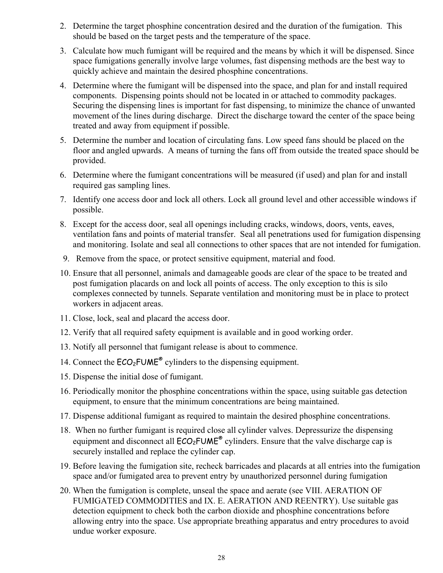- 2. Determine the target phosphine concentration desired and the duration of the fumigation. This should be based on the target pests and the temperature of the space.
- 3. Calculate how much fumigant will be required and the means by which it will be dispensed. Since space fumigations generally involve large volumes, fast dispensing methods are the best way to quickly achieve and maintain the desired phosphine concentrations.
- 4. Determine where the fumigant will be dispensed into the space, and plan for and install required components. Dispensing points should not be located in or attached to commodity packages. Securing the dispensing lines is important for fast dispensing, to minimize the chance of unwanted movement of the lines during discharge. Direct the discharge toward the center of the space being treated and away from equipment if possible.
- 5. Determine the number and location of circulating fans. Low speed fans should be placed on the floor and angled upwards. A means of turning the fans off from outside the treated space should be provided.
- 6. Determine where the fumigant concentrations will be measured (if used) and plan for and install required gas sampling lines.
- 7. Identify one access door and lock all others. Lock all ground level and other accessible windows if possible.
- 8. Except for the access door, seal all openings including cracks, windows, doors, vents, eaves, ventilation fans and points of material transfer. Seal all penetrations used for fumigation dispensing and monitoring. Isolate and seal all connections to other spaces that are not intended for fumigation.
- 9. Remove from the space, or protect sensitive equipment, material and food.
- 10. Ensure that all personnel, animals and damageable goods are clear of the space to be treated and post fumigation placards on and lock all points of access. The only exception to this is silo complexes connected by tunnels. Separate ventilation and monitoring must be in place to protect workers in adjacent areas.
- 11. Close, lock, seal and placard the access door.
- 12. Verify that all required safety equipment is available and in good working order.
- 13. Notify all personnel that fumigant release is about to commence.
- 14. Connect the  $ECO<sub>2</sub>FUME<sup>®</sup>$  cylinders to the dispensing equipment.
- 15. Dispense the initial dose of fumigant.
- 16. Periodically monitor the phosphine concentrations within the space, using suitable gas detection equipment, to ensure that the minimum concentrations are being maintained.
- 17. Dispense additional fumigant as required to maintain the desired phosphine concentrations.
- 18. When no further fumigant is required close all cylinder valves. Depressurize the dispensing equipment and disconnect all  $ECO<sub>2</sub>FUME<sup>®</sup>$  cylinders. Ensure that the valve discharge cap is securely installed and replace the cylinder cap.
- 19. Before leaving the fumigation site, recheck barricades and placards at all entries into the fumigation space and/or fumigated area to prevent entry by unauthorized personnel during fumigation
- 20. When the fumigation is complete, unseal the space and aerate (see VIII. AERATION OF FUMIGATED COMMODITIES and IX. E. AERATION AND REENTRY). Use suitable gas detection equipment to check both the carbon dioxide and phosphine concentrations before allowing entry into the space. Use appropriate breathing apparatus and entry procedures to avoid undue worker exposure.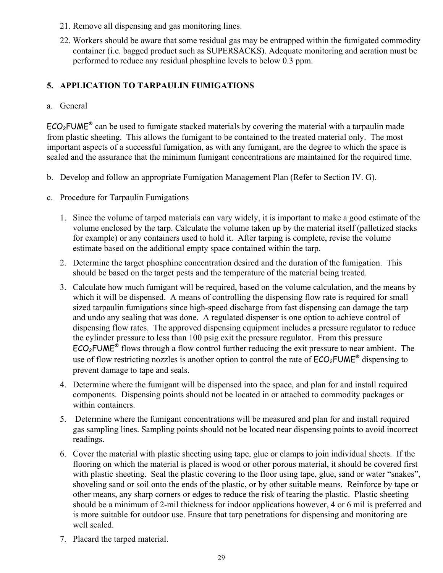- 21. Remove all dispensing and gas monitoring lines.
- 22. Workers should be aware that some residual gas may be entrapped within the fumigated commodity container (i.e. bagged product such as SUPERSACKS). Adequate monitoring and aeration must be performed to reduce any residual phosphine levels to below 0.3 ppm.

### **5. APPLICATION TO TARPAULIN FUMIGATIONS**

a. General

 $ECO<sub>2</sub>FWE<sup>®</sup>$  can be used to fumigate stacked materials by covering the material with a tarpaulin made from plastic sheeting. This allows the fumigant to be contained to the treated material only. The most important aspects of a successful fumigation, as with any fumigant, are the degree to which the space is sealed and the assurance that the minimum fumigant concentrations are maintained for the required time.

- b. Develop and follow an appropriate Fumigation Management Plan (Refer to Section IV. G).
- c. Procedure for Tarpaulin Fumigations
	- 1. Since the volume of tarped materials can vary widely, it is important to make a good estimate of the volume enclosed by the tarp. Calculate the volume taken up by the material itself (palletized stacks for example) or any containers used to hold it. After tarping is complete, revise the volume estimate based on the additional empty space contained within the tarp.
	- 2. Determine the target phosphine concentration desired and the duration of the fumigation. This should be based on the target pests and the temperature of the material being treated.
	- 3. Calculate how much fumigant will be required, based on the volume calculation, and the means by which it will be dispensed. A means of controlling the dispensing flow rate is required for small sized tarpaulin fumigations since high-speed discharge from fast dispensing can damage the tarp and undo any sealing that was done. A regulated dispenser is one option to achieve control of dispensing flow rates. The approved dispensing equipment includes a pressure regulator to reduce the cylinder pressure to less than 100 psig exit the pressure regulator. From this pressure  $ECO<sub>2</sub>FWE<sup>®</sup>$  flows through a flow control further reducing the exit pressure to near ambient. The use of flow restricting nozzles is another option to control the rate of  $ECO<sub>2</sub>FUME<sup>®</sup>$  dispensing to prevent damage to tape and seals.
	- 4. Determine where the fumigant will be dispensed into the space, and plan for and install required components. Dispensing points should not be located in or attached to commodity packages or within containers.
	- 5. Determine where the fumigant concentrations will be measured and plan for and install required gas sampling lines. Sampling points should not be located near dispensing points to avoid incorrect readings.
	- 6. Cover the material with plastic sheeting using tape, glue or clamps to join individual sheets. If the flooring on which the material is placed is wood or other porous material, it should be covered first with plastic sheeting. Seal the plastic covering to the floor using tape, glue, sand or water "snakes", shoveling sand or soil onto the ends of the plastic, or by other suitable means. Reinforce by tape or other means, any sharp corners or edges to reduce the risk of tearing the plastic. Plastic sheeting should be a minimum of 2-mil thickness for indoor applications however, 4 or 6 mil is preferred and is more suitable for outdoor use. Ensure that tarp penetrations for dispensing and monitoring are well sealed.
	- 7. Placard the tarped material.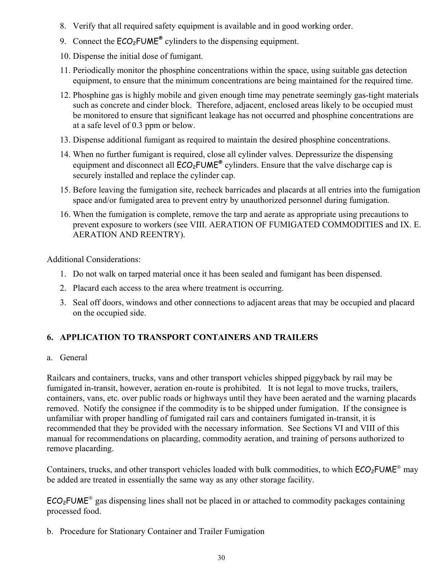- 8. Verify that all required safety equipment is available and in good working order.
- 9. Connect the  $ECO<sub>2</sub>FUME<sup>®</sup>$  cylinders to the dispensing equipment.
- 10. Dispense the initial dose of fumigant.
- 11. Periodically monitor the phosphine concentrations within the space, using suitable gas detection equipment, to ensure that the minimum concentrations are being maintained for the required time.
- 12. Phosphine gas is highly mobile and given enough time may penetrate seemingly gas-tight materials such as concrete and cinder block. Therefore, adjacent, enclosed areas likely to be occupied must be monitored to ensure that significant leakage has not occurred and phosphine concentrations are at a safe level of 0.3 ppm or below.
- 13. Dispense additional fumigant as required to maintain the desired phosphine concentrations.
- 14. When no further fumigant is required, close all cylinder valves. Depressurize the dispensing equipment and disconnect all  $ECO<sub>2</sub>FUME<sup>®</sup>$  cylinders. Ensure that the valve discharge cap is securely installed and replace the cylinder cap.
- 15. Before leaving the fumigation site, recheck barricades and placards at all entries into the fumigation space and/or fumigated area to prevent entry by unauthorized personnel during fumigation.
- 16. When the fumigation is complete, remove the tarp and aerate as appropriate using precautions to prevent exposure to workers (see VIII. AERATION OF FUMIGATED COMMODITIES and IX. E. AERATION AND REENTRY).

Additional Considerations:

- 1. Do not walk on tarped material once it has been sealed and fumigant has been dispensed.
- 2. Placard each access to the area where treatment is occurring.
- 3. Seal off doors, windows and other connections to adjacent areas that may be occupied and placard on the occupied side.

## **6. APPLICATION TO TRANSPORT CONTAINERS AND TRAILERS**

#### a. General

Railcars and containers, trucks, vans and other transport vehicles shipped piggyback by rail may be fumigated in-transit, however, aeration en-route is prohibited. It is not legal to move trucks, trailers, containers, vans, etc. over public roads or highways until they have been aerated and the warning placards removed. Notify the consignee if the commodity is to be shipped under fumigation. If the consignee is unfamiliar with proper handling of fumigated rail cars and containers fumigated in-transit, it is recommended that they be provided with the necessary information. See Sections VI and VIII of this manual for recommendations on placarding, commodity aeration, and training of persons authorized to remove placarding.

Containers, trucks, and other transport vehicles loaded with bulk commodities, to which  $ECO<sub>2</sub>FWM<sup>®</sup>$  may be added are treated in essentially the same way as any other storage facility.

 $ECO<sub>2</sub>FUME<sup>®</sup>$  gas dispensing lines shall not be placed in or attached to commodity packages containing processed food.

b. Procedure for Stationary Container and Trailer Fumigation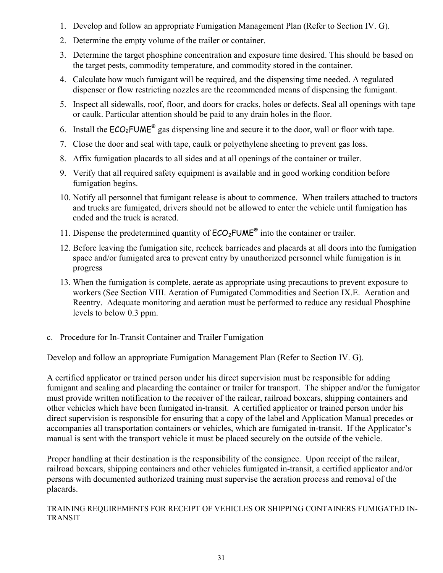- 1. Develop and follow an appropriate Fumigation Management Plan (Refer to Section IV. G).
- 2. Determine the empty volume of the trailer or container.
- 3. Determine the target phosphine concentration and exposure time desired. This should be based on the target pests, commodity temperature, and commodity stored in the container.
- 4. Calculate how much fumigant will be required, and the dispensing time needed. A regulated dispenser or flow restricting nozzles are the recommended means of dispensing the fumigant.
- 5. Inspect all sidewalls, roof, floor, and doors for cracks, holes or defects. Seal all openings with tape or caulk. Particular attention should be paid to any drain holes in the floor.
- 6. Install the  $ECO_2$ FUME<sup>®</sup> gas dispensing line and secure it to the door, wall or floor with tape.
- 7. Close the door and seal with tape, caulk or polyethylene sheeting to prevent gas loss.
- 8. Affix fumigation placards to all sides and at all openings of the container or trailer.
- 9. Verify that all required safety equipment is available and in good working condition before fumigation begins.
- 10. Notify all personnel that fumigant release is about to commence. When trailers attached to tractors and trucks are fumigated, drivers should not be allowed to enter the vehicle until fumigation has ended and the truck is aerated.
- 11. Dispense the predetermined quantity of  $ECO<sub>2</sub>FUME<sup>®</sup>$  into the container or trailer.
- 12. Before leaving the fumigation site, recheck barricades and placards at all doors into the fumigation space and/or fumigated area to prevent entry by unauthorized personnel while fumigation is in progress
- 13. When the fumigation is complete, aerate as appropriate using precautions to prevent exposure to workers (See Section VIII. Aeration of Fumigated Commodities and Section IX.E. Aeration and Reentry. Adequate monitoring and aeration must be performed to reduce any residual Phosphine levels to below 0.3 ppm.
- c. Procedure for In-Transit Container and Trailer Fumigation

Develop and follow an appropriate Fumigation Management Plan (Refer to Section IV. G).

A certified applicator or trained person under his direct supervision must be responsible for adding fumigant and sealing and placarding the container or trailer for transport. The shipper and/or the fumigator must provide written notification to the receiver of the railcar, railroad boxcars, shipping containers and other vehicles which have been fumigated in-transit. A certified applicator or trained person under his direct supervision is responsible for ensuring that a copy of the label and Application Manual precedes or accompanies all transportation containers or vehicles, which are fumigated in-transit. If the Applicator's manual is sent with the transport vehicle it must be placed securely on the outside of the vehicle.

Proper handling at their destination is the responsibility of the consignee. Upon receipt of the railcar, railroad boxcars, shipping containers and other vehicles fumigated in-transit, a certified applicator and/or persons with documented authorized training must supervise the aeration process and removal of the placards.

TRAINING REQUIREMENTS FOR RECEIPT OF VEHICLES OR SHIPPING CONTAINERS FUMIGATED IN-TRANSIT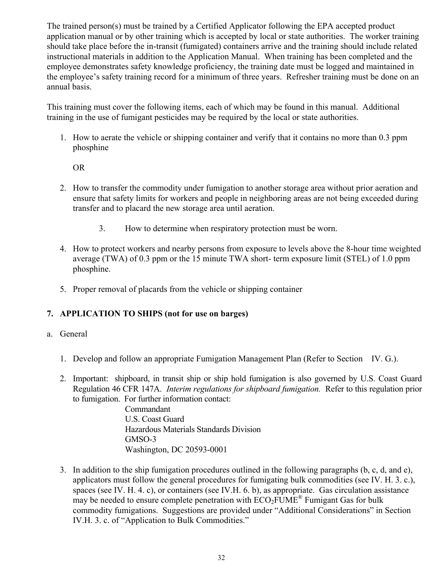The trained person(s) must be trained by a Certified Applicator following the EPA accepted product application manual or by other training which is accepted by local or state authorities. The worker training should take place before the in-transit (fumigated) containers arrive and the training should include related instructional materials in addition to the Application Manual. When training has been completed and the employee demonstrates safety knowledge proficiency, the training date must be logged and maintained in the employee's safety training record for a minimum of three years. Refresher training must be done on an annual basis.

This training must cover the following items, each of which may be found in this manual. Additional training in the use of fumigant pesticides may be required by the local or state authorities.

1. How to aerate the vehicle or shipping container and verify that it contains no more than 0.3 ppm phosphine

#### OR

- 2. How to transfer the commodity under fumigation to another storage area without prior aeration and ensure that safety limits for workers and people in neighboring areas are not being exceeded during transfer and to placard the new storage area until aeration.
	- 3. How to determine when respiratory protection must be worn.
- 4. How to protect workers and nearby persons from exposure to levels above the 8-hour time weighted average (TWA) of 0.3 ppm or the 15 minute TWA short- term exposure limit (STEL) of 1.0 ppm phosphine.
- 5. Proper removal of placards from the vehicle or shipping container

### **7. APPLICATION TO SHIPS (not for use on barges)**

#### a. General

- 1. Develop and follow an appropriate Fumigation Management Plan (Refer to Section IV. G.).
- 2. Important: shipboard, in transit ship or ship hold fumigation is also governed by U.S. Coast Guard Regulation 46 CFR 147A. *Interim regulations for shipboard fumigation.* Refer to this regulation prior to fumigation. For further information contact:

 Commandant U.S. Coast Guard Hazardous Materials Standards Division GMSO-3 Washington, DC 20593-0001

3. In addition to the ship fumigation procedures outlined in the following paragraphs (b, c, d, and e), applicators must follow the general procedures for fumigating bulk commodities (see IV. H. 3. c.), spaces (see IV. H. 4. c), or containers (see IV.H. 6. b), as appropriate. Gas circulation assistance may be needed to ensure complete penetration with  $ECO<sub>2</sub>FUME<sup>®</sup>$  Fumigant Gas for bulk commodity fumigations. Suggestions are provided under "Additional Considerations" in Section IV.H. 3. c. of "Application to Bulk Commodities."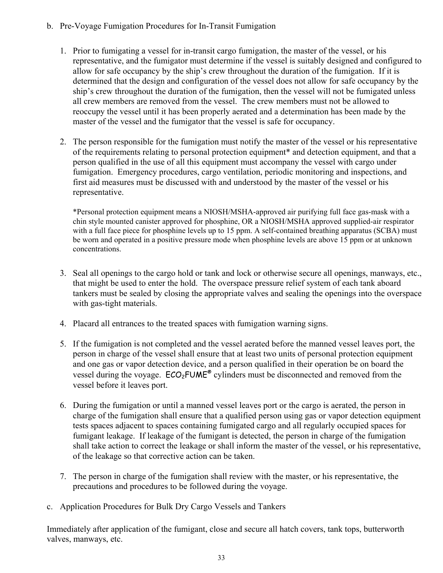- b. Pre-Voyage Fumigation Procedures for In-Transit Fumigation
	- 1. Prior to fumigating a vessel for in-transit cargo fumigation, the master of the vessel, or his representative, and the fumigator must determine if the vessel is suitably designed and configured to allow for safe occupancy by the ship's crew throughout the duration of the fumigation. If it is determined that the design and configuration of the vessel does not allow for safe occupancy by the ship's crew throughout the duration of the fumigation, then the vessel will not be fumigated unless all crew members are removed from the vessel. The crew members must not be allowed to reoccupy the vessel until it has been properly aerated and a determination has been made by the master of the vessel and the fumigator that the vessel is safe for occupancy.
	- 2. The person responsible for the fumigation must notify the master of the vessel or his representative of the requirements relating to personal protection equipment\* and detection equipment, and that a person qualified in the use of all this equipment must accompany the vessel with cargo under fumigation. Emergency procedures, cargo ventilation, periodic monitoring and inspections, and first aid measures must be discussed with and understood by the master of the vessel or his representative.

\*Personal protection equipment means a NIOSH/MSHA-approved air purifying full face gas-mask with a chin style mounted canister approved for phosphine, OR a NIOSH/MSHA approved supplied-air respirator with a full face piece for phosphine levels up to 15 ppm. A self-contained breathing apparatus (SCBA) must be worn and operated in a positive pressure mode when phosphine levels are above 15 ppm or at unknown concentrations.

- 3. Seal all openings to the cargo hold or tank and lock or otherwise secure all openings, manways, etc., that might be used to enter the hold. The overspace pressure relief system of each tank aboard tankers must be sealed by closing the appropriate valves and sealing the openings into the overspace with gas-tight materials.
- 4. Placard all entrances to the treated spaces with fumigation warning signs.
- 5. If the fumigation is not completed and the vessel aerated before the manned vessel leaves port, the person in charge of the vessel shall ensure that at least two units of personal protection equipment and one gas or vapor detection device, and a person qualified in their operation be on board the vessel during the voyage.  $ECO<sub>2</sub>FUME<sup>®</sup>$  cylinders must be disconnected and removed from the vessel before it leaves port.
- 6. During the fumigation or until a manned vessel leaves port or the cargo is aerated, the person in charge of the fumigation shall ensure that a qualified person using gas or vapor detection equipment tests spaces adjacent to spaces containing fumigated cargo and all regularly occupied spaces for fumigant leakage. If leakage of the fumigant is detected, the person in charge of the fumigation shall take action to correct the leakage or shall inform the master of the vessel, or his representative, of the leakage so that corrective action can be taken.
- 7. The person in charge of the fumigation shall review with the master, or his representative, the precautions and procedures to be followed during the voyage.
- c. Application Procedures for Bulk Dry Cargo Vessels and Tankers

Immediately after application of the fumigant, close and secure all hatch covers, tank tops, butterworth valves, manways, etc.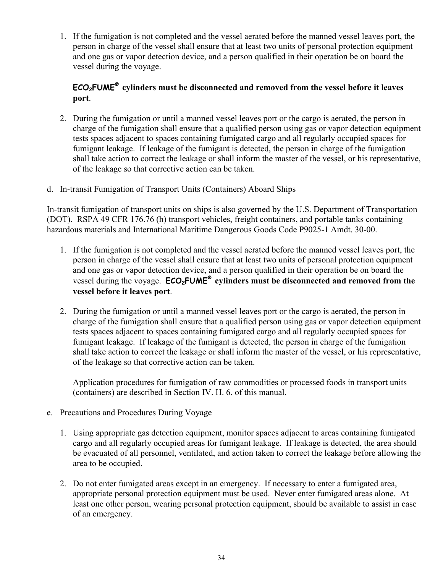1. If the fumigation is not completed and the vessel aerated before the manned vessel leaves port, the person in charge of the vessel shall ensure that at least two units of personal protection equipment and one gas or vapor detection device, and a person qualified in their operation be on board the vessel during the voyage.

### **ECO2FUME® cylinders must be disconnected and removed from the vessel before it leaves port**.

- 2. During the fumigation or until a manned vessel leaves port or the cargo is aerated, the person in charge of the fumigation shall ensure that a qualified person using gas or vapor detection equipment tests spaces adjacent to spaces containing fumigated cargo and all regularly occupied spaces for fumigant leakage. If leakage of the fumigant is detected, the person in charge of the fumigation shall take action to correct the leakage or shall inform the master of the vessel, or his representative, of the leakage so that corrective action can be taken.
- d. In-transit Fumigation of Transport Units (Containers) Aboard Ships

In-transit fumigation of transport units on ships is also governed by the U.S. Department of Transportation (DOT). RSPA 49 CFR 176.76 (h) transport vehicles, freight containers, and portable tanks containing hazardous materials and International Maritime Dangerous Goods Code P9025-1 Amdt. 30-00.

- 1. If the fumigation is not completed and the vessel aerated before the manned vessel leaves port, the person in charge of the vessel shall ensure that at least two units of personal protection equipment and one gas or vapor detection device, and a person qualified in their operation be on board the vessel during the voyage. **ECO<sub>2</sub>FUME<sup>®</sup> cylinders must be disconnected and removed from the vessel before it leaves port**.
- 2. During the fumigation or until a manned vessel leaves port or the cargo is aerated, the person in charge of the fumigation shall ensure that a qualified person using gas or vapor detection equipment tests spaces adjacent to spaces containing fumigated cargo and all regularly occupied spaces for fumigant leakage. If leakage of the fumigant is detected, the person in charge of the fumigation shall take action to correct the leakage or shall inform the master of the vessel, or his representative, of the leakage so that corrective action can be taken.

Application procedures for fumigation of raw commodities or processed foods in transport units (containers) are described in Section IV. H. 6. of this manual.

- e. Precautions and Procedures During Voyage
	- 1. Using appropriate gas detection equipment, monitor spaces adjacent to areas containing fumigated cargo and all regularly occupied areas for fumigant leakage. If leakage is detected, the area should be evacuated of all personnel, ventilated, and action taken to correct the leakage before allowing the area to be occupied.
	- 2. Do not enter fumigated areas except in an emergency. If necessary to enter a fumigated area, appropriate personal protection equipment must be used. Never enter fumigated areas alone. At least one other person, wearing personal protection equipment, should be available to assist in case of an emergency.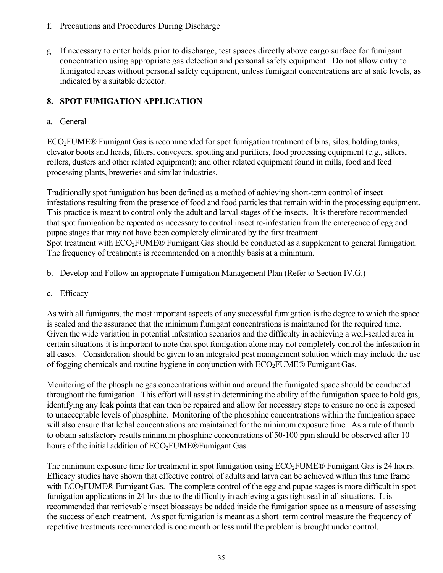- f. Precautions and Procedures During Discharge
- g. If necessary to enter holds prior to discharge, test spaces directly above cargo surface for fumigant concentration using appropriate gas detection and personal safety equipment. Do not allow entry to fumigated areas without personal safety equipment, unless fumigant concentrations are at safe levels, as indicated by a suitable detector.

### **8. SPOT FUMIGATION APPLICATION**

#### a. General

 $ECO<sub>2</sub>FUME®$  Fumigant Gas is recommended for spot fumigation treatment of bins, silos, holding tanks, elevator boots and heads, filters, conveyers, spouting and purifiers, food processing equipment (e.g., sifters, rollers, dusters and other related equipment); and other related equipment found in mills, food and feed processing plants, breweries and similar industries.

Traditionally spot fumigation has been defined as a method of achieving short-term control of insect infestations resulting from the presence of food and food particles that remain within the processing equipment. This practice is meant to control only the adult and larval stages of the insects. It is therefore recommended that spot fumigation be repeated as necessary to control insect re-infestation from the emergence of egg and pupae stages that may not have been completely eliminated by the first treatment. Spot treatment with ECO<sub>2</sub>FUME® Fumigant Gas should be conducted as a supplement to general fumigation. The frequency of treatments is recommended on a monthly basis at a minimum.

- b. Develop and Follow an appropriate Fumigation Management Plan (Refer to Section IV.G.)
- c. Efficacy

As with all fumigants, the most important aspects of any successful fumigation is the degree to which the space is sealed and the assurance that the minimum fumigant concentrations is maintained for the required time. Given the wide variation in potential infestation scenarios and the difficulty in achieving a well-sealed area in certain situations it is important to note that spot fumigation alone may not completely control the infestation in all cases. Consideration should be given to an integrated pest management solution which may include the use of fogging chemicals and routine hygiene in conjunction with  $ECO<sub>2</sub>FUME®$  Fumigant Gas.

Monitoring of the phosphine gas concentrations within and around the fumigated space should be conducted throughout the fumigation. This effort will assist in determining the ability of the fumigation space to hold gas, identifying any leak points that can then be repaired and allow for necessary steps to ensure no one is exposed to unacceptable levels of phosphine. Monitoring of the phosphine concentrations within the fumigation space will also ensure that lethal concentrations are maintained for the minimum exposure time. As a rule of thumb to obtain satisfactory results minimum phosphine concentrations of 50-100 ppm should be observed after 10 hours of the initial addition of  $ECO<sub>2</sub>FUME@Fumigant Gas$ .

The minimum exposure time for treatment in spot fumigation using  $ECO<sub>2</sub>FUME<sup>®</sup>$  Fumigant Gas is 24 hours. Efficacy studies have shown that effective control of adults and larva can be achieved within this time frame with ECO<sub>2</sub>FUME® Fumigant Gas. The complete control of the egg and pupae stages is more difficult in spot fumigation applications in 24 hrs due to the difficulty in achieving a gas tight seal in all situations. It is recommended that retrievable insect bioassays be added inside the fumigation space as a measure of assessing the success of each treatment. As spot fumigation is meant as a short–term control measure the frequency of repetitive treatments recommended is one month or less until the problem is brought under control.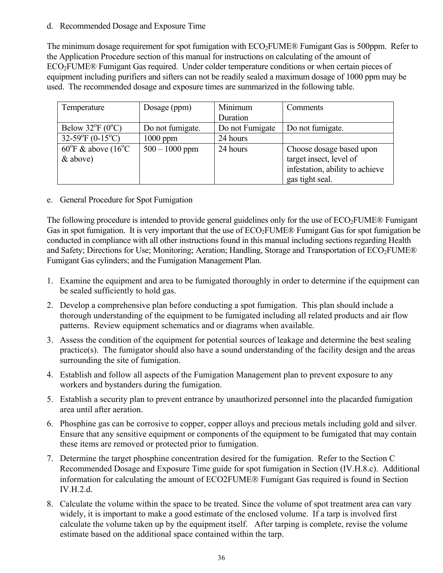#### d. Recommended Dosage and Exposure Time

The minimum dosage requirement for spot fumigation with  $ECO<sub>2</sub>FUME®$  Fumigant Gas is 500ppm. Refer to the Application Procedure section of this manual for instructions on calculating of the amount of ECO2FUME® Fumigant Gas required. Under colder temperature conditions or when certain pieces of equipment including purifiers and sifters can not be readily sealed a maximum dosage of 1000 ppm may be used. The recommended dosage and exposure times are summarized in the following table.

| Temperature                                | Dosage (ppm)     | Minimum         | Comments                        |
|--------------------------------------------|------------------|-----------------|---------------------------------|
|                                            |                  | Duration        |                                 |
| Below $32^{\circ}F(0^{\circ}C)$            | Do not fumigate. | Do not Fumigate | Do not fumigate.                |
| 32-59 ${}^{\circ}$ F (0-15 ${}^{\circ}$ C) | $1000$ ppm       | 24 hours        |                                 |
| $60^{\circ}$ F & above (16 <sup>o</sup> C  | $500 - 1000$ ppm | 24 hours        | Choose dosage based upon        |
| $&$ above)                                 |                  |                 | target insect, level of         |
|                                            |                  |                 | infestation, ability to achieve |
|                                            |                  |                 | gas tight seal.                 |

e. General Procedure for Spot Fumigation

The following procedure is intended to provide general guidelines only for the use of  $ECO<sub>2</sub>FUME<sup>®</sup>$  Fumigant Gas in spot fumigation. It is very important that the use of  $ECO<sub>2</sub>FUME®$  Fumigant Gas for spot fumigation be conducted in compliance with all other instructions found in this manual including sections regarding Health and Safety; Directions for Use; Monitoring; Aeration; Handling, Storage and Transportation of ECO<sub>2</sub>FUME® Fumigant Gas cylinders; and the Fumigation Management Plan.

- 1. Examine the equipment and area to be fumigated thoroughly in order to determine if the equipment can be sealed sufficiently to hold gas.
- 2. Develop a comprehensive plan before conducting a spot fumigation. This plan should include a thorough understanding of the equipment to be fumigated including all related products and air flow patterns. Review equipment schematics and or diagrams when available.
- 3. Assess the condition of the equipment for potential sources of leakage and determine the best sealing practice(s). The fumigator should also have a sound understanding of the facility design and the areas surrounding the site of fumigation.
- 4. Establish and follow all aspects of the Fumigation Management plan to prevent exposure to any workers and bystanders during the fumigation.
- 5. Establish a security plan to prevent entrance by unauthorized personnel into the placarded fumigation area until after aeration.
- 6. Phosphine gas can be corrosive to copper, copper alloys and precious metals including gold and silver. Ensure that any sensitive equipment or components of the equipment to be fumigated that may contain these items are removed or protected prior to fumigation.
- 7. Determine the target phosphine concentration desired for the fumigation. Refer to the Section C Recommended Dosage and Exposure Time guide for spot fumigation in Section (IV.H.8.c). Additional information for calculating the amount of ECO2FUME<sup>®</sup> Fumigant Gas required is found in Section IV.H.2.d.
- 8. Calculate the volume within the space to be treated. Since the volume of spot treatment area can vary widely, it is important to make a good estimate of the enclosed volume. If a tarp is involved first calculate the volume taken up by the equipment itself. After tarping is complete, revise the volume estimate based on the additional space contained within the tarp.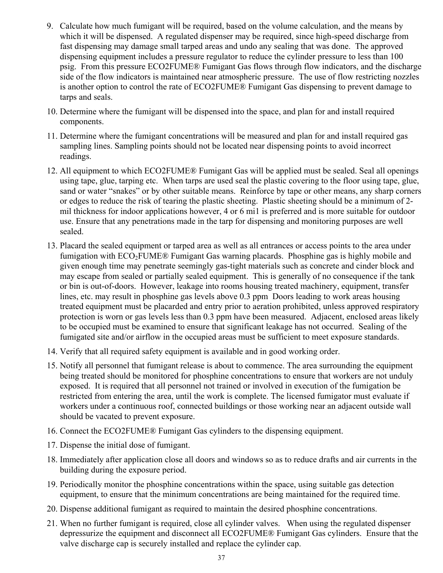- 9. Calculate how much fumigant will be required, based on the volume calculation, and the means by which it will be dispensed. A regulated dispenser may be required, since high-speed discharge from fast dispensing may damage small tarped areas and undo any sealing that was done. The approved dispensing equipment includes a pressure regulator to reduce the cylinder pressure to less than 100 psig. From this pressure ECO2FUME® Fumigant Gas flows through flow indicators, and the discharge side of the flow indicators is maintained near atmospheric pressure. The use of flow restricting nozzles is another option to control the rate of ECO2FUME® Fumigant Gas dispensing to prevent damage to tarps and seals.
- 10. Determine where the fumigant will be dispensed into the space, and plan for and install required components.
- 11. Determine where the fumigant concentrations will be measured and plan for and install required gas sampling lines. Sampling points should not be located near dispensing points to avoid incorrect readings.
- 12. All equipment to which ECO2FUME® Fumigant Gas will be applied must be sealed. Seal all openings using tape, glue, tarping etc. When tarps are used seal the plastic covering to the floor using tape, glue, sand or water "snakes" or by other suitable means. Reinforce by tape or other means, any sharp corners or edges to reduce the risk of tearing the plastic sheeting. Plastic sheeting should be a minimum of 2 mil thickness for indoor applications however, 4 or 6 mi1 is preferred and is more suitable for outdoor use. Ensure that any penetrations made in the tarp for dispensing and monitoring purposes are well sealed.
- 13. Placard the sealed equipment or tarped area as well as all entrances or access points to the area under fumigation with  $ECO<sub>2</sub>FUME®$  Fumigant Gas warning placards. Phosphine gas is highly mobile and given enough time may penetrate seemingly gas-tight materials such as concrete and cinder block and may escape from sealed or partially sealed equipment. This is generally of no consequence if the tank or bin is out-of-doors. However, leakage into rooms housing treated machinery, equipment, transfer lines, etc. may result in phosphine gas levels above 0.3 ppm Doors leading to work areas housing treated equipment must be placarded and entry prior to aeration prohibited, unless approved respiratory protection is worn or gas levels less than 0.3 ppm have been measured. Adjacent, enclosed areas likely to be occupied must be examined to ensure that significant leakage has not occurred. Sealing of the fumigated site and/or airflow in the occupied areas must be sufficient to meet exposure standards.
- 14. Verify that all required safety equipment is available and in good working order.
- 15. Notify all personnel that fumigant release is about to commence. The area surrounding the equipment being treated should be monitored for phosphine concentrations to ensure that workers are not unduly exposed. It is required that all personnel not trained or involved in execution of the fumigation be restricted from entering the area, until the work is complete. The licensed fumigator must evaluate if workers under a continuous roof, connected buildings or those working near an adjacent outside wall should be vacated to prevent exposure.
- 16. Connect the ECO2FUME® Fumigant Gas cylinders to the dispensing equipment.
- 17. Dispense the initial dose of fumigant.
- 18. Immediately after application close all doors and windows so as to reduce drafts and air currents in the building during the exposure period.
- 19. Periodically monitor the phosphine concentrations within the space, using suitable gas detection equipment, to ensure that the minimum concentrations are being maintained for the required time.
- 20. Dispense additional fumigant as required to maintain the desired phosphine concentrations.
- 21. When no further fumigant is required, close all cylinder valves. When using the regulated dispenser depressurize the equipment and disconnect all ECO2FUME® Fumigant Gas cylinders. Ensure that the valve discharge cap is securely installed and replace the cylinder cap.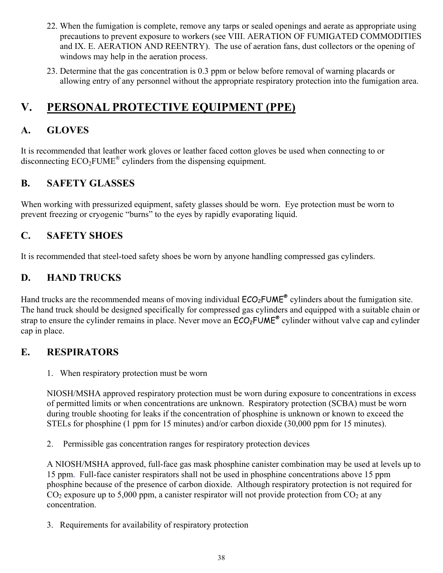- 22. When the fumigation is complete, remove any tarps or sealed openings and aerate as appropriate using precautions to prevent exposure to workers (see VIII. AERATION OF FUMIGATED COMMODITIES and IX. E. AERATION AND REENTRY). The use of aeration fans, dust collectors or the opening of windows may help in the aeration process.
- 23. Determine that the gas concentration is 0.3 ppm or below before removal of warning placards or allowing entry of any personnel without the appropriate respiratory protection into the fumigation area.

# **V. PERSONAL PROTECTIVE EQUIPMENT (PPE)**

# **A. GLOVES**

It is recommended that leather work gloves or leather faced cotton gloves be used when connecting to or disconnecting ECO<sub>2</sub>FUME<sup>®</sup> cylinders from the dispensing equipment.

## **B. SAFETY GLASSES**

When working with pressurized equipment, safety glasses should be worn. Eye protection must be worn to prevent freezing or cryogenic "burns" to the eyes by rapidly evaporating liquid.

## **C. SAFETY SHOES**

It is recommended that steel-toed safety shoes be worn by anyone handling compressed gas cylinders.

## **D. HAND TRUCKS**

Hand trucks are the recommended means of moving individual  $ECO<sub>2</sub>FUME<sup>®</sup>$  cylinders about the fumigation site. The hand truck should be designed specifically for compressed gas cylinders and equipped with a suitable chain or strap to ensure the cylinder remains in place. Never move an  $ECO<sub>2</sub>FUME<sup>®</sup>$  cylinder without valve cap and cylinder cap in place.

## **E. RESPIRATORS**

1. When respiratory protection must be worn

NIOSH/MSHA approved respiratory protection must be worn during exposure to concentrations in excess of permitted limits or when concentrations are unknown. Respiratory protection (SCBA) must be worn during trouble shooting for leaks if the concentration of phosphine is unknown or known to exceed the STELs for phosphine (1 ppm for 15 minutes) and/or carbon dioxide (30,000 ppm for 15 minutes).

2. Permissible gas concentration ranges for respiratory protection devices

A NIOSH/MSHA approved, full-face gas mask phosphine canister combination may be used at levels up to 15 ppm. Full-face canister respirators shall not be used in phosphine concentrations above 15 ppm phosphine because of the presence of carbon dioxide. Although respiratory protection is not required for  $CO<sub>2</sub>$  exposure up to 5,000 ppm, a canister respirator will not provide protection from  $CO<sub>2</sub>$  at any concentration.

3. Requirements for availability of respiratory protection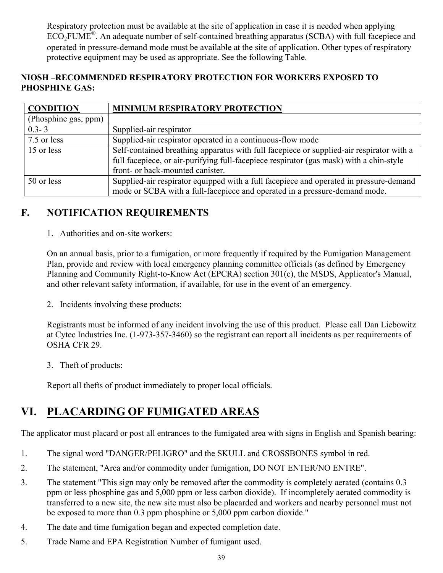Respiratory protection must be available at the site of application in case it is needed when applying ECO<sub>2</sub>FUME<sup>®</sup>. An adequate number of self-contained breathing apparatus (SCBA) with full facepiece and operated in pressure-demand mode must be available at the site of application. Other types of respiratory protective equipment may be used as appropriate. See the following Table.

### **NIOSH –RECOMMENDED RESPIRATORY PROTECTION FOR WORKERS EXPOSED TO PHOSPHINE GAS:**

| <b>CONDITION</b>     | MINIMUM RESPIRATORY PROTECTION                                                           |
|----------------------|------------------------------------------------------------------------------------------|
| (Phosphine gas, ppm) |                                                                                          |
| $0.3 - 3$            | Supplied-air respirator                                                                  |
| 7.5 or less          | Supplied-air respirator operated in a continuous-flow mode                               |
| 15 or less           | Self-contained breathing apparatus with full facepiece or supplied-air respirator with a |
|                      | full facepiece, or air-purifying full-facepiece respirator (gas mask) with a chin-style  |
|                      | front- or back-mounted canister.                                                         |
| 50 or less           | Supplied-air respirator equipped with a full facepiece and operated in pressure-demand   |
|                      | mode or SCBA with a full-facepiece and operated in a pressure-demand mode.               |

## **F. NOTIFICATION REQUIREMENTS**

1. Authorities and on-site workers:

On an annual basis, prior to a fumigation, or more frequently if required by the Fumigation Management Plan, provide and review with local emergency planning committee officials (as defined by Emergency Planning and Community Right-to-Know Act (EPCRA) section 301(c), the MSDS, Applicator's Manual, and other relevant safety information, if available, for use in the event of an emergency.

2. Incidents involving these products:

Registrants must be informed of any incident involving the use of this product. Please call Dan Liebowitz at Cytec Industries Inc. (1-973-357-3460) so the registrant can report all incidents as per requirements of OSHA CFR 29.

3. Theft of products:

Report all thefts of product immediately to proper local officials.

# **VI. PLACARDING OF FUMIGATED AREAS**

The applicator must placard or post all entrances to the fumigated area with signs in English and Spanish bearing:

- 1. The signal word "DANGER/PELIGRO" and the SKULL and CROSSBONES symbol in red.
- 2. The statement, "Area and/or commodity under fumigation, DO NOT ENTER/NO ENTRE".
- 3. The statement "This sign may only be removed after the commodity is completely aerated (contains 0.3 ppm or less phosphine gas and 5,000 ppm or less carbon dioxide). If incompletely aerated commodity is transferred to a new site, the new site must also be placarded and workers and nearby personnel must not be exposed to more than 0.3 ppm phosphine or 5,000 ppm carbon dioxide."
- 4. The date and time fumigation began and expected completion date.
- 5. Trade Name and EPA Registration Number of fumigant used.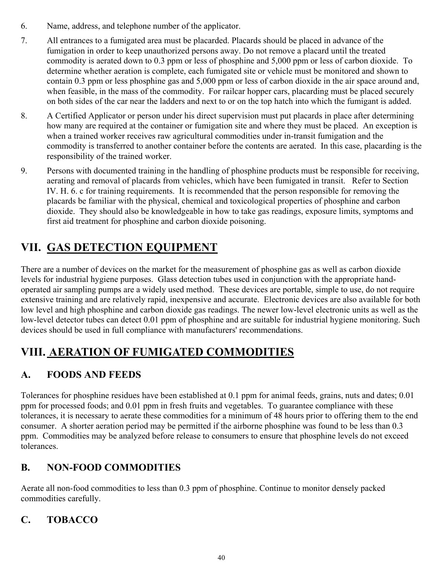- 6. Name, address, and telephone number of the applicator.
- 7. All entrances to a fumigated area must be placarded. Placards should be placed in advance of the fumigation in order to keep unauthorized persons away. Do not remove a placard until the treated commodity is aerated down to 0.3 ppm or less of phosphine and 5,000 ppm or less of carbon dioxide. To determine whether aeration is complete, each fumigated site or vehicle must be monitored and shown to contain 0.3 ppm or less phosphine gas and 5,000 ppm or less of carbon dioxide in the air space around and, when feasible, in the mass of the commodity. For railcar hopper cars, placarding must be placed securely on both sides of the car near the ladders and next to or on the top hatch into which the fumigant is added.
- 8. A Certified Applicator or person under his direct supervision must put placards in place after determining how many are required at the container or fumigation site and where they must be placed. An exception is when a trained worker receives raw agricultural commodities under in-transit fumigation and the commodity is transferred to another container before the contents are aerated. In this case, placarding is the responsibility of the trained worker.
- 9. Persons with documented training in the handling of phosphine products must be responsible for receiving, aerating and removal of placards from vehicles, which have been fumigated in transit. Refer to Section IV. H. 6. c for training requirements. It is recommended that the person responsible for removing the placards be familiar with the physical, chemical and toxicological properties of phosphine and carbon dioxide. They should also be knowledgeable in how to take gas readings, exposure limits, symptoms and first aid treatment for phosphine and carbon dioxide poisoning.

# **VII. GAS DETECTION EQUIPMENT**

There are a number of devices on the market for the measurement of phosphine gas as well as carbon dioxide levels for industrial hygiene purposes. Glass detection tubes used in conjunction with the appropriate handoperated air sampling pumps are a widely used method. These devices are portable, simple to use, do not require extensive training and are relatively rapid, inexpensive and accurate. Electronic devices are also available for both low level and high phosphine and carbon dioxide gas readings. The newer low-level electronic units as well as the low-level detector tubes can detect 0.01 ppm of phosphine and are suitable for industrial hygiene monitoring. Such devices should be used in full compliance with manufacturers' recommendations.

# **VIII. AERATION OF FUMIGATED COMMODITIES**

# **A. FOODS AND FEEDS**

Tolerances for phosphine residues have been established at 0.1 ppm for animal feeds, grains, nuts and dates; 0.01 ppm for processed foods; and 0.01 ppm in fresh fruits and vegetables. To guarantee compliance with these tolerances, it is necessary to aerate these commodities for a minimum of 48 hours prior to offering them to the end consumer. A shorter aeration period may be permitted if the airborne phosphine was found to be less than 0.3 ppm. Commodities may be analyzed before release to consumers to ensure that phosphine levels do not exceed tolerances.

# **B. NON-FOOD COMMODITIES**

Aerate all non-food commodities to less than 0.3 ppm of phosphine. Continue to monitor densely packed commodities carefully.

# **C. TOBACCO**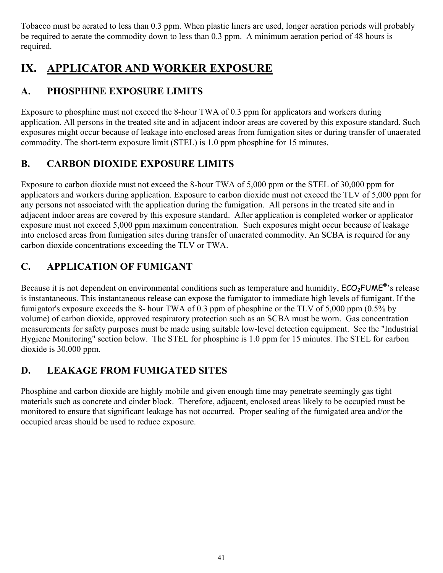Tobacco must be aerated to less than 0.3 ppm. When plastic liners are used, longer aeration periods will probably be required to aerate the commodity down to less than 0.3 ppm. A minimum aeration period of 48 hours is required.

# **IX. APPLICATOR AND WORKER EXPOSURE**

# **A. PHOSPHINE EXPOSURE LIMITS**

Exposure to phosphine must not exceed the 8-hour TWA of 0.3 ppm for applicators and workers during application. All persons in the treated site and in adjacent indoor areas are covered by this exposure standard. Such exposures might occur because of leakage into enclosed areas from fumigation sites or during transfer of unaerated commodity. The short-term exposure limit (STEL) is 1.0 ppm phosphine for 15 minutes.

# **B. CARBON DIOXIDE EXPOSURE LIMITS**

Exposure to carbon dioxide must not exceed the 8-hour TWA of 5,000 ppm or the STEL of 30,000 ppm for applicators and workers during application. Exposure to carbon dioxide must not exceed the TLV of 5,000 ppm for any persons not associated with the application during the fumigation. All persons in the treated site and in adjacent indoor areas are covered by this exposure standard. After application is completed worker or applicator exposure must not exceed 5,000 ppm maximum concentration. Such exposures might occur because of leakage into enclosed areas from fumigation sites during transfer of unaerated commodity. An SCBA is required for any carbon dioxide concentrations exceeding the TLV or TWA.

# **C. APPLICATION OF FUMIGANT**

Because it is not dependent on environmental conditions such as temperature and humidity,  $ECO<sub>2</sub>FUME<sup>®</sup>$ 's release is instantaneous. This instantaneous release can expose the fumigator to immediate high levels of fumigant. If the fumigator's exposure exceeds the 8- hour TWA of 0.3 ppm of phosphine or the TLV of 5,000 ppm (0.5% by volume) of carbon dioxide, approved respiratory protection such as an SCBA must be worn. Gas concentration measurements for safety purposes must be made using suitable low-level detection equipment. See the "Industrial Hygiene Monitoring" section below. The STEL for phosphine is 1.0 ppm for 15 minutes. The STEL for carbon dioxide is 30,000 ppm.

# **D. LEAKAGE FROM FUMIGATED SITES**

Phosphine and carbon dioxide are highly mobile and given enough time may penetrate seemingly gas tight materials such as concrete and cinder block. Therefore, adjacent, enclosed areas likely to be occupied must be monitored to ensure that significant leakage has not occurred. Proper sealing of the fumigated area and/or the occupied areas should be used to reduce exposure.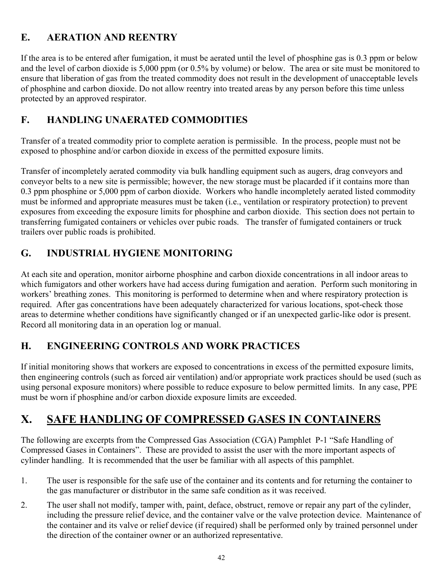# **E. AERATION AND REENTRY**

If the area is to be entered after fumigation, it must be aerated until the level of phosphine gas is 0.3 ppm or below and the level of carbon dioxide is 5,000 ppm (or 0.5% by volume) or below. The area or site must be monitored to ensure that liberation of gas from the treated commodity does not result in the development of unacceptable levels of phosphine and carbon dioxide. Do not allow reentry into treated areas by any person before this time unless protected by an approved respirator.

## **F. HANDLING UNAERATED COMMODITIES**

Transfer of a treated commodity prior to complete aeration is permissible. In the process, people must not be exposed to phosphine and/or carbon dioxide in excess of the permitted exposure limits.

Transfer of incompletely aerated commodity via bulk handling equipment such as augers, drag conveyors and conveyor belts to a new site is permissible; however, the new storage must be placarded if it contains more than 0.3 ppm phosphine or 5,000 ppm of carbon dioxide. Workers who handle incompletely aerated listed commodity must be informed and appropriate measures must be taken (i.e., ventilation or respiratory protection) to prevent exposures from exceeding the exposure limits for phosphine and carbon dioxide. This section does not pertain to transferring fumigated containers or vehicles over pubic roads. The transfer of fumigated containers or truck trailers over public roads is prohibited.

## **G. INDUSTRIAL HYGIENE MONITORING**

At each site and operation, monitor airborne phosphine and carbon dioxide concentrations in all indoor areas to which fumigators and other workers have had access during fumigation and aeration. Perform such monitoring in workers' breathing zones. This monitoring is performed to determine when and where respiratory protection is required. After gas concentrations have been adequately characterized for various locations, spot-check those areas to determine whether conditions have significantly changed or if an unexpected garlic-like odor is present. Record all monitoring data in an operation log or manual.

## **H. ENGINEERING CONTROLS AND WORK PRACTICES**

If initial monitoring shows that workers are exposed to concentrations in excess of the permitted exposure limits, then engineering controls (such as forced air ventilation) and/or appropriate work practices should be used (such as using personal exposure monitors) where possible to reduce exposure to below permitted limits. In any case, PPE must be worn if phosphine and/or carbon dioxide exposure limits are exceeded.

# **X. SAFE HANDLING OF COMPRESSED GASES IN CONTAINERS**

The following are excerpts from the Compressed Gas Association (CGA) Pamphlet P-1 "Safe Handling of Compressed Gases in Containers". These are provided to assist the user with the more important aspects of cylinder handling. It is recommended that the user be familiar with all aspects of this pamphlet.

- 1. The user is responsible for the safe use of the container and its contents and for returning the container to the gas manufacturer or distributor in the same safe condition as it was received.
- 2. The user shall not modify, tamper with, paint, deface, obstruct, remove or repair any part of the cylinder, including the pressure relief device, and the container valve or the valve protection device. Maintenance of the container and its valve or relief device (if required) shall be performed only by trained personnel under the direction of the container owner or an authorized representative.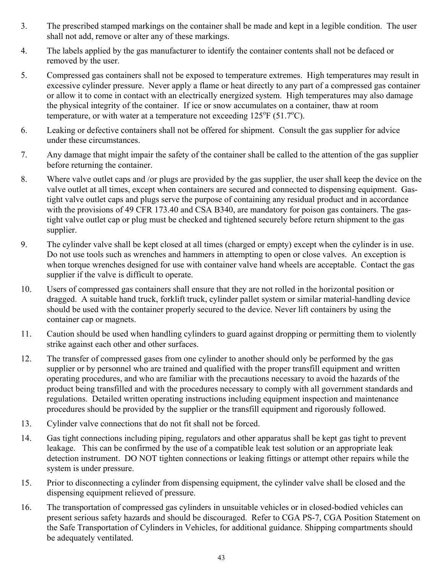- 3. The prescribed stamped markings on the container shall be made and kept in a legible condition. The user shall not add, remove or alter any of these markings.
- 4. The labels applied by the gas manufacturer to identify the container contents shall not be defaced or removed by the user.
- 5. Compressed gas containers shall not be exposed to temperature extremes. High temperatures may result in excessive cylinder pressure. Never apply a flame or heat directly to any part of a compressed gas container or allow it to come in contact with an electrically energized system. High temperatures may also damage the physical integrity of the container. If ice or snow accumulates on a container, thaw at room temperature, or with water at a temperature not exceeding  $125^{\circ}F(51.7^{\circ}C)$ .
- 6. Leaking or defective containers shall not be offered for shipment. Consult the gas supplier for advice under these circumstances.
- 7. Any damage that might impair the safety of the container shall be called to the attention of the gas supplier before returning the container.
- 8. Where valve outlet caps and /or plugs are provided by the gas supplier, the user shall keep the device on the valve outlet at all times, except when containers are secured and connected to dispensing equipment. Gastight valve outlet caps and plugs serve the purpose of containing any residual product and in accordance with the provisions of 49 CFR 173.40 and CSA B340, are mandatory for poison gas containers. The gastight valve outlet cap or plug must be checked and tightened securely before return shipment to the gas supplier.
- 9. The cylinder valve shall be kept closed at all times (charged or empty) except when the cylinder is in use. Do not use tools such as wrenches and hammers in attempting to open or close valves. An exception is when torque wrenches designed for use with container valve hand wheels are acceptable. Contact the gas supplier if the valve is difficult to operate.
- 10. Users of compressed gas containers shall ensure that they are not rolled in the horizontal position or dragged. A suitable hand truck, forklift truck, cylinder pallet system or similar material-handling device should be used with the container properly secured to the device. Never lift containers by using the container cap or magnets.
- 11. Caution should be used when handling cylinders to guard against dropping or permitting them to violently strike against each other and other surfaces.
- 12. The transfer of compressed gases from one cylinder to another should only be performed by the gas supplier or by personnel who are trained and qualified with the proper transfill equipment and written operating procedures, and who are familiar with the precautions necessary to avoid the hazards of the product being transfilled and with the procedures necessary to comply with all government standards and regulations. Detailed written operating instructions including equipment inspection and maintenance procedures should be provided by the supplier or the transfill equipment and rigorously followed.
- 13. Cylinder valve connections that do not fit shall not be forced.
- 14. Gas tight connections including piping, regulators and other apparatus shall be kept gas tight to prevent leakage. This can be confirmed by the use of a compatible leak test solution or an appropriate leak detection instrument. DO NOT tighten connections or leaking fittings or attempt other repairs while the system is under pressure.
- 15. Prior to disconnecting a cylinder from dispensing equipment, the cylinder valve shall be closed and the dispensing equipment relieved of pressure.
- 16. The transportation of compressed gas cylinders in unsuitable vehicles or in closed-bodied vehicles can present serious safety hazards and should be discouraged. Refer to CGA PS-7, CGA Position Statement on the Safe Transportation of Cylinders in Vehicles, for additional guidance. Shipping compartments should be adequately ventilated.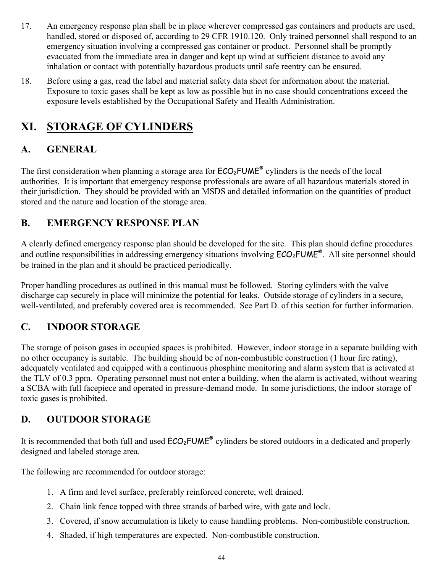- 17. An emergency response plan shall be in place wherever compressed gas containers and products are used, handled, stored or disposed of, according to 29 CFR 1910.120. Only trained personnel shall respond to an emergency situation involving a compressed gas container or product. Personnel shall be promptly evacuated from the immediate area in danger and kept up wind at sufficient distance to avoid any inhalation or contact with potentially hazardous products until safe reentry can be ensured.
- 18. Before using a gas, read the label and material safety data sheet for information about the material. Exposure to toxic gases shall be kept as low as possible but in no case should concentrations exceed the exposure levels established by the Occupational Safety and Health Administration.

# **XI. STORAGE OF CYLINDERS**

# **A. GENERAL**

The first consideration when planning a storage area for  $ECO_2$ FUME<sup>®</sup> cylinders is the needs of the local authorities. It is important that emergency response professionals are aware of all hazardous materials stored in their jurisdiction. They should be provided with an MSDS and detailed information on the quantities of product stored and the nature and location of the storage area.

# **B. EMERGENCY RESPONSE PLAN**

A clearly defined emergency response plan should be developed for the site. This plan should define procedures and outline responsibilities in addressing emergency situations involving  $ECO<sub>2</sub>FUME<sup>®</sup>$ . All site personnel should be trained in the plan and it should be practiced periodically.

Proper handling procedures as outlined in this manual must be followed. Storing cylinders with the valve discharge cap securely in place will minimize the potential for leaks. Outside storage of cylinders in a secure, well-ventilated, and preferably covered area is recommended. See Part D. of this section for further information.

# **C. INDOOR STORAGE**

The storage of poison gases in occupied spaces is prohibited. However, indoor storage in a separate building with no other occupancy is suitable. The building should be of non-combustible construction (1 hour fire rating), adequately ventilated and equipped with a continuous phosphine monitoring and alarm system that is activated at the TLV of 0.3 ppm. Operating personnel must not enter a building, when the alarm is activated, without wearing a SCBA with full facepiece and operated in pressure-demand mode. In some jurisdictions, the indoor storage of toxic gases is prohibited.

# **D. OUTDOOR STORAGE**

It is recommended that both full and used  $ECO<sub>2</sub>FUME<sup>®</sup>$  cylinders be stored outdoors in a dedicated and properly designed and labeled storage area.

The following are recommended for outdoor storage:

- 1. A firm and level surface, preferably reinforced concrete, well drained.
- 2. Chain link fence topped with three strands of barbed wire, with gate and lock.
- 3. Covered, if snow accumulation is likely to cause handling problems. Non-combustible construction.
- 4. Shaded, if high temperatures are expected. Non-combustible construction.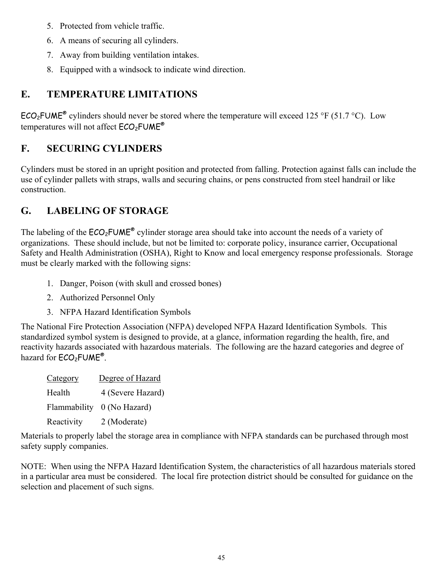- 5. Protected from vehicle traffic.
- 6. A means of securing all cylinders.
- 7. Away from building ventilation intakes.
- 8. Equipped with a windsock to indicate wind direction.

## **E. TEMPERATURE LIMITATIONS**

ECO<sub>2</sub>FUME<sup>®</sup> cylinders should never be stored where the temperature will exceed 125 °F (51.7 °C). Low temperatures will not affect  $ECO<sub>2</sub>FUME<sup>®</sup>$ 

## **F. SECURING CYLINDERS**

Cylinders must be stored in an upright position and protected from falling. Protection against falls can include the use of cylinder pallets with straps, walls and securing chains, or pens constructed from steel handrail or like construction.

## **G. LABELING OF STORAGE**

The labeling of the  $ECO<sub>2</sub>FUME<sup>®</sup>$  cylinder storage area should take into account the needs of a variety of organizations. These should include, but not be limited to: corporate policy, insurance carrier, Occupational Safety and Health Administration (OSHA), Right to Know and local emergency response professionals. Storage must be clearly marked with the following signs:

- 1. Danger, Poison (with skull and crossed bones)
- 2. Authorized Personnel Only
- 3. NFPA Hazard Identification Symbols

The National Fire Protection Association (NFPA) developed NFPA Hazard Identification Symbols. This standardized symbol system is designed to provide, at a glance, information regarding the health, fire, and reactivity hazards associated with hazardous materials. The following are the hazard categories and degree of hazard for  $ECO<sub>2</sub>FUME<sup>®</sup>$ .

| Category   | Degree of Hazard           |
|------------|----------------------------|
| Health     | 4 (Severe Hazard)          |
|            | Flammability 0 (No Hazard) |
| Reactivity | 2 (Moderate)               |

Materials to properly label the storage area in compliance with NFPA standards can be purchased through most safety supply companies.

NOTE: When using the NFPA Hazard Identification System, the characteristics of all hazardous materials stored in a particular area must be considered. The local fire protection district should be consulted for guidance on the selection and placement of such signs.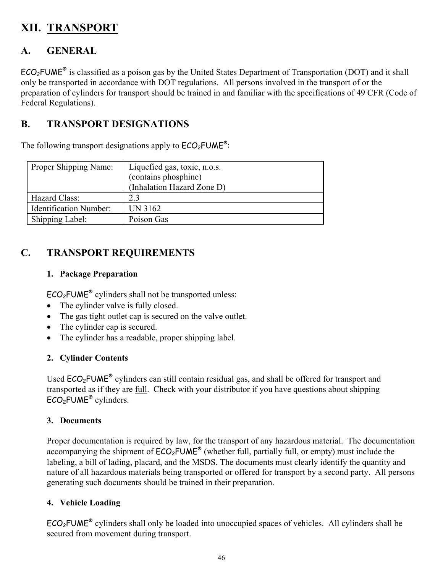# **XII. TRANSPORT**

## **A. GENERAL**

 $ECO<sub>2</sub>FWE<sup>®</sup>$  is classified as a poison gas by the United States Department of Transportation (DOT) and it shall only be transported in accordance with DOT regulations. All persons involved in the transport of or the preparation of cylinders for transport should be trained in and familiar with the specifications of 49 CFR (Code of Federal Regulations).

## **B. TRANSPORT DESIGNATIONS**

The following transport designations apply to  $\mathsf{ECO}_2\mathsf{FUME}^\circ$ :

| Proper Shipping Name:         | Liquefied gas, toxic, n.o.s. |
|-------------------------------|------------------------------|
|                               | (contains phosphine)         |
|                               | (Inhalation Hazard Zone D)   |
| Hazard Class:                 | 2.3                          |
| <b>Identification Number:</b> | UN 3162                      |
| Shipping Label:               | Poison Gas                   |

# **C. TRANSPORT REQUIREMENTS**

### **1. Package Preparation**

 $ECO<sub>2</sub>FUME<sup>®</sup>$  cylinders shall not be transported unless:

- The cylinder valve is fully closed.
- The gas tight outlet cap is secured on the valve outlet.
- The cylinder cap is secured.
- The cylinder has a readable, proper shipping label.

## **2. Cylinder Contents**

Used  $ECO<sub>2</sub>FUME<sup>®</sup>$  cylinders can still contain residual gas, and shall be offered for transport and transported as if they are full. Check with your distributor if you have questions about shipping ECO<sub>2</sub>FUME<sup>®</sup> cylinders.

### **3. Documents**

Proper documentation is required by law, for the transport of any hazardous material. The documentation accompanying the shipment of  $ECO<sub>2</sub>FUME<sup>®</sup>$  (whether full, partially full, or empty) must include the labeling, a bill of lading, placard, and the MSDS. The documents must clearly identify the quantity and nature of all hazardous materials being transported or offered for transport by a second party. All persons generating such documents should be trained in their preparation.

## **4. Vehicle Loading**

 $ECO<sub>2</sub>FUME<sup>®</sup>$  cylinders shall only be loaded into unoccupied spaces of vehicles. All cylinders shall be secured from movement during transport.